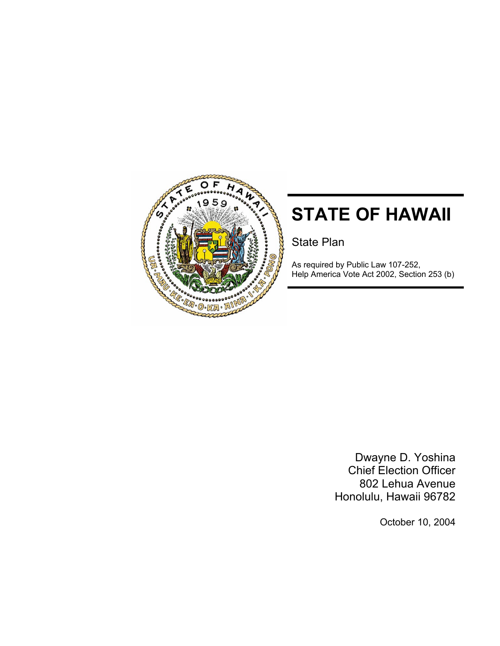

# **STATE OF HAWAII**

State Plan

As required by Public Law 107-252, Help America Vote Act 2002, Section 253 (b)

> Dwayne D. Yoshina Chief Election Officer 802 Lehua Avenue Honolulu, Hawaii 96782

> > October 10, 2004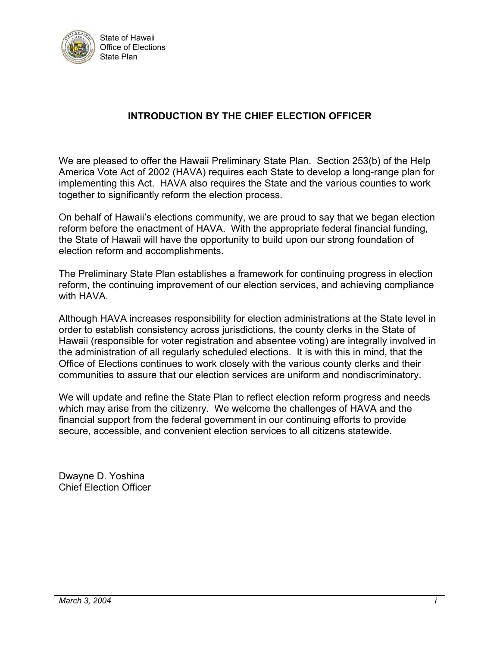

## **INTRODUCTION BY THE CHIEF ELECTION OFFICER**

We are pleased to offer the Hawaii Preliminary State Plan. Section 253(b) of the Help America Vote Act of 2002 (HAVA) requires each State to develop a long-range plan for implementing this Act. HAVA also requires the State and the various counties to work together to significantly reform the election process.

On behalf of Hawaii's elections community, we are proud to say that we began election reform before the enactment of HAVA. With the appropriate federal financial funding, the State of Hawaii will have the opportunity to build upon our strong foundation of election reform and accomplishments.

The Preliminary State Plan establishes a framework for continuing progress in election reform, the continuing improvement of our election services, and achieving compliance with HAVA.

Although HAVA increases responsibility for election administrations at the State level in order to establish consistency across jurisdictions, the county clerks in the State of Hawaii (responsible for voter registration and absentee voting) are integrally involved in the administration of all regularly scheduled elections. It is with this in mind, that the Office of Elections continues to work closely with the various county clerks and their communities to assure that our election services are uniform and nondiscriminatory.

We will update and refine the State Plan to reflect election reform progress and needs which may arise from the citizenry. We welcome the challenges of HAVA and the financial support from the federal government in our continuing efforts to provide secure, accessible, and convenient election services to all citizens statewide.

Dwayne D. Yoshina Chief Election Officer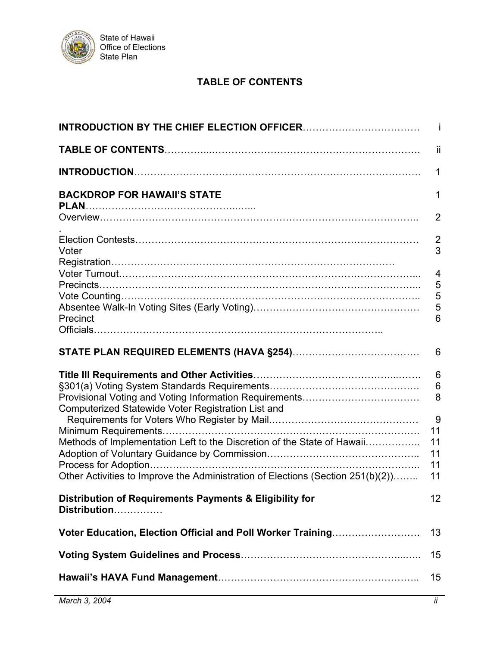

## **TABLE OF CONTENTS**

|                                                                                 | -ii                  |
|---------------------------------------------------------------------------------|----------------------|
|                                                                                 | 1                    |
| <b>BACKDROP FOR HAWAII'S STATE</b>                                              | 1                    |
|                                                                                 | $\overline{2}$       |
| Voter                                                                           | $\overline{2}$<br>3  |
|                                                                                 | $\overline{4}$       |
|                                                                                 | 5                    |
|                                                                                 | 5<br>5               |
| Precinct                                                                        | 6                    |
|                                                                                 |                      |
|                                                                                 | 6                    |
|                                                                                 | $6\phantom{1}6$      |
|                                                                                 | $6\phantom{1}6$<br>8 |
| Computerized Statewide Voter Registration List and                              |                      |
|                                                                                 | 9<br>11              |
| Methods of Implementation Left to the Discretion of the State of Hawaii         | 11                   |
|                                                                                 | 11                   |
|                                                                                 | 11                   |
| Other Activities to Improve the Administration of Elections (Section 251(b)(2)) | 11                   |
| Distribution of Requirements Payments & Eligibility for<br>Distribution         | 12                   |
| Voter Education, Election Official and Poll Worker Training                     | 13                   |
|                                                                                 | 15                   |
|                                                                                 | 15                   |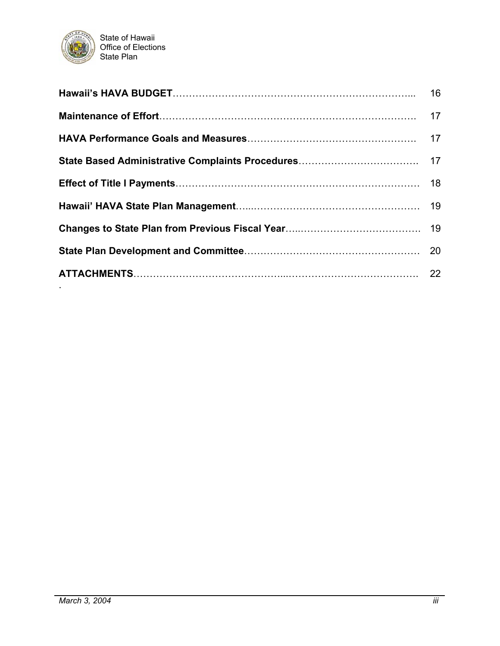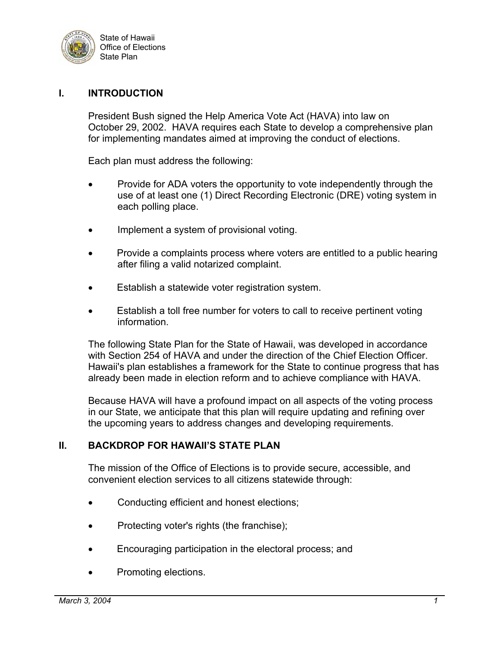

#### **I. INTRODUCTION**

President Bush signed the Help America Vote Act (HAVA) into law on October 29, 2002. HAVA requires each State to develop a comprehensive plan for implementing mandates aimed at improving the conduct of elections.

Each plan must address the following:

- Provide for ADA voters the opportunity to vote independently through the use of at least one (1) Direct Recording Electronic (DRE) voting system in each polling place.
- Implement a system of provisional voting.
- Provide a complaints process where voters are entitled to a public hearing after filing a valid notarized complaint.
- Establish a statewide voter registration system.
- Establish a toll free number for voters to call to receive pertinent voting information.

The following State Plan for the State of Hawaii, was developed in accordance with Section 254 of HAVA and under the direction of the Chief Election Officer. Hawaii's plan establishes a framework for the State to continue progress that has already been made in election reform and to achieve compliance with HAVA.

Because HAVA will have a profound impact on all aspects of the voting process in our State, we anticipate that this plan will require updating and refining over the upcoming years to address changes and developing requirements.

#### **II. BACKDROP FOR HAWAII'S STATE PLAN**

The mission of the Office of Elections is to provide secure, accessible, and convenient election services to all citizens statewide through:

- Conducting efficient and honest elections;
- Protecting voter's rights (the franchise);
- Encouraging participation in the electoral process; and
- Promoting elections.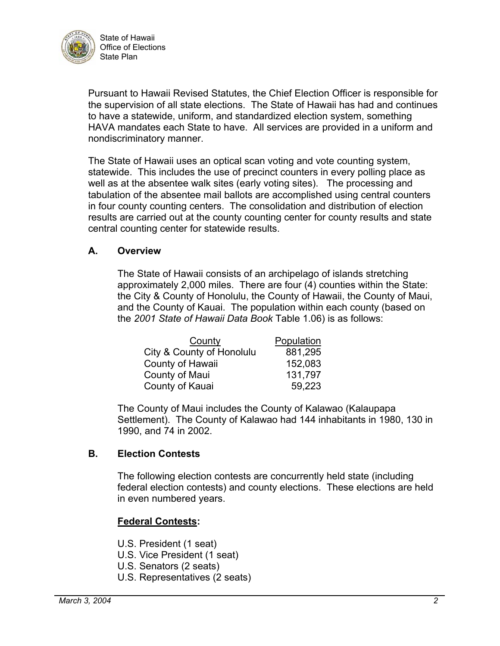

Pursuant to Hawaii Revised Statutes, the Chief Election Officer is responsible for the supervision of all state elections. The State of Hawaii has had and continues to have a statewide, uniform, and standardized election system, something HAVA mandates each State to have. All services are provided in a uniform and nondiscriminatory manner.

The State of Hawaii uses an optical scan voting and vote counting system, statewide. This includes the use of precinct counters in every polling place as well as at the absentee walk sites (early voting sites). The processing and tabulation of the absentee mail ballots are accomplished using central counters in four county counting centers. The consolidation and distribution of election results are carried out at the county counting center for county results and state central counting center for statewide results.

#### **A. Overview**

The State of Hawaii consists of an archipelago of islands stretching approximately 2,000 miles. There are four (4) counties within the State: the City & County of Honolulu, the County of Hawaii, the County of Maui, and the County of Kauai. The population within each county (based on the *2001 State of Hawaii Data Book* Table 1.06) is as follows:

| County                    | Population |
|---------------------------|------------|
| City & County of Honolulu | 881,295    |
| County of Hawaii          | 152,083    |
| County of Maui            | 131,797    |
| County of Kauai           | 59,223     |

The County of Maui includes the County of Kalawao (Kalaupapa Settlement). The County of Kalawao had 144 inhabitants in 1980, 130 in 1990, and 74 in 2002.

#### **B. Election Contests**

The following election contests are concurrently held state (including federal election contests) and county elections. These elections are held in even numbered years.

#### **Federal Contests:**

- U.S. President (1 seat)
- U.S. Vice President (1 seat)
- U.S. Senators (2 seats)
- U.S. Representatives (2 seats)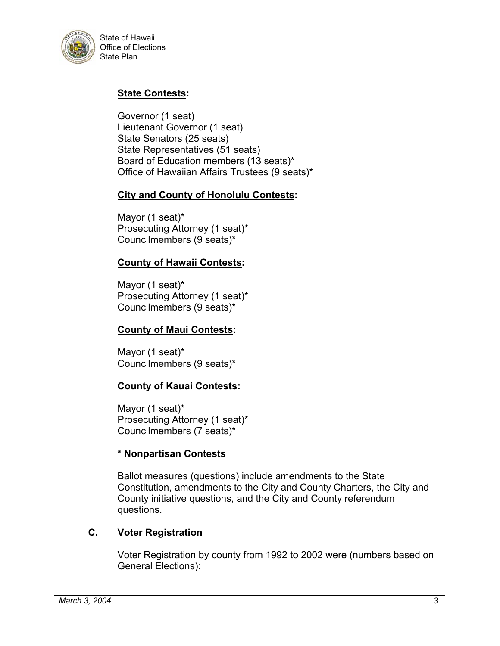

## **State Contests:**

Governor (1 seat) Lieutenant Governor (1 seat) State Senators (25 seats) State Representatives (51 seats) Board of Education members (13 seats)\* Office of Hawaiian Affairs Trustees (9 seats)\*

## **City and County of Honolulu Contests:**

Mayor (1 seat)\* Prosecuting Attorney (1 seat)\* Councilmembers (9 seats)\*

#### **County of Hawaii Contests:**

Mayor (1 seat)\* Prosecuting Attorney (1 seat)\* Councilmembers (9 seats)\*

#### **County of Maui Contests:**

Mayor (1 seat)\* Councilmembers (9 seats)\*

#### **County of Kauai Contests:**

Mayor (1 seat)\* Prosecuting Attorney (1 seat)\* Councilmembers (7 seats)\*

#### **\* Nonpartisan Contests**

Ballot measures (questions) include amendments to the State Constitution, amendments to the City and County Charters, the City and County initiative questions, and the City and County referendum questions.

#### **C. Voter Registration**

Voter Registration by county from 1992 to 2002 were (numbers based on General Elections):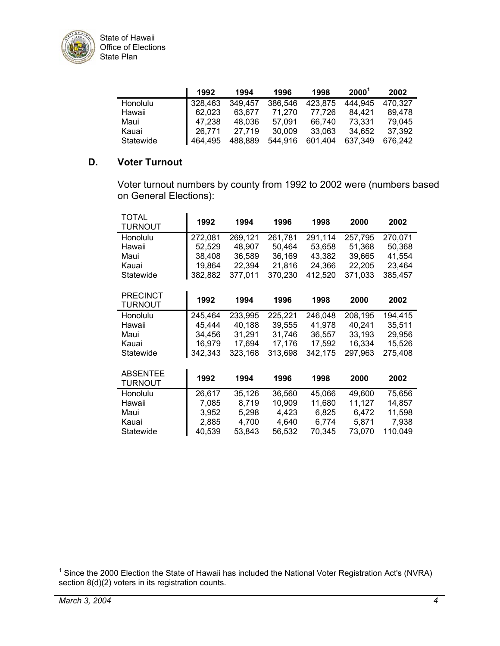

|           | 1992    | 1994    | 1996    | 1998    | $2000^{\circ}$ | 2002    |
|-----------|---------|---------|---------|---------|----------------|---------|
| Honolulu  | 328,463 | 349.457 | 386,546 | 423.875 | 444.945        | 470.327 |
| Hawaii    | 62.023  | 63.677  | 71.270  | 77.726  | 84.421         | 89.478  |
| Maui      | 47.238  | 48.036  | 57.091  | 66.740  | 73.331         | 79.045  |
| Kauai     | 26.771  | 27.719  | 30.009  | 33.063  | 34.652         | 37.392  |
| Statewide | 464.495 | 488.889 | 544.916 | 601.404 | 637.349        | 676.242 |

## **D. Voter Turnout**

Voter turnout numbers by county from 1992 to 2002 were (numbers based on General Elections):

| TOTAL<br>TURNOUT | 1992    | 1994    | 1996    | 1998    | 2000    | 2002    |
|------------------|---------|---------|---------|---------|---------|---------|
| Honolulu         | 272,081 | 269,121 | 261,781 | 291,114 | 257,795 | 270,071 |
| Hawaii           | 52,529  | 48,907  | 50,464  | 53,658  | 51,368  | 50,368  |
| Maui             | 38,408  | 36,589  | 36,169  | 43,382  | 39,665  | 41,554  |
| Kauai            | 19,864  | 22,394  | 21.816  | 24,366  | 22,205  | 23,464  |
| Statewide        | 382,882 | 377,011 | 370,230 | 412,520 | 371,033 | 385,457 |
|                  |         |         |         |         |         |         |
| <b>PRECINCT</b>  |         |         |         |         |         |         |
| TURNOUT          | 1992    | 1994    | 1996    | 1998    | 2000    | 2002    |
| Honolulu         | 245,464 | 233,995 | 225,221 | 246,048 | 208,195 | 194,415 |
| Hawaii           | 45,444  | 40,188  | 39,555  | 41,978  | 40,241  | 35,511  |
| Maui             | 34,456  | 31,291  | 31,746  | 36,557  | 33,193  | 29,956  |
| Kauai            | 16,979  | 17,694  | 17,176  | 17,592  | 16,334  | 15,526  |
| Statewide        | 342,343 | 323,168 | 313,698 | 342.175 | 297.963 | 275,408 |
|                  |         |         |         |         |         |         |
| <b>ABSENTEE</b>  |         |         |         |         |         |         |
| TURNOUT          | 1992    | 1994    | 1996    | 1998    | 2000    | 2002    |
| Honolulu         | 26,617  | 35,126  | 36.560  | 45.066  | 49.600  | 75,656  |
| Hawaii           | 7,085   | 8,719   | 10,909  | 11,680  | 11,127  | 14,857  |
| Maui             | 3,952   | 5,298   | 4,423   | 6,825   | 6,472   | 11,598  |
| Kauai            | 2,885   | 4.700   | 4,640   | 6,774   | 5,871   | 7,938   |
| Statewide        | 40,539  | 53,843  | 56,532  | 70,345  | 73,070  | 110,049 |

<span id="page-7-0"></span> <sup>1</sup> Since the 2000 Election the State of Hawaii has included the National Voter Registration Act's (NVRA) section 8(d)(2) voters in its registration counts.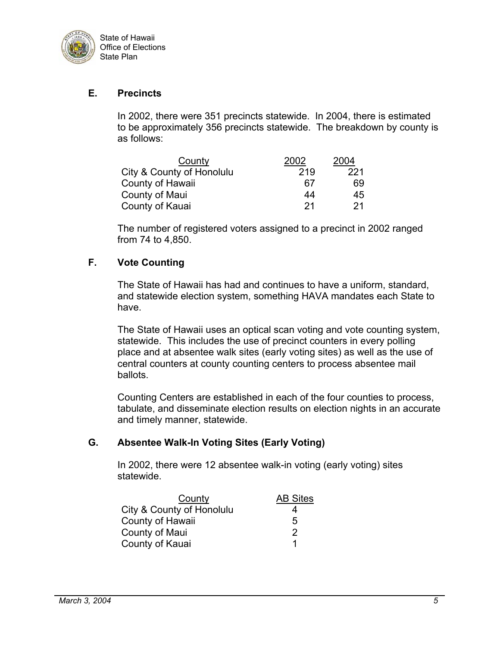

### **E. Precincts**

In 2002, there were 351 precincts statewide. In 2004, there is estimated to be approximately 356 precincts statewide. The breakdown by county is as follows:

| County                    | 2002 | 2004 |
|---------------------------|------|------|
| City & County of Honolulu | 219  | 221  |
| County of Hawaii          | 67   | 69   |
| County of Maui            | 44   | 45   |
| County of Kauai           | 21   | -21  |

The number of registered voters assigned to a precinct in 2002 ranged from 74 to 4,850.

#### **F. Vote Counting**

The State of Hawaii has had and continues to have a uniform, standard, and statewide election system, something HAVA mandates each State to have.

The State of Hawaii uses an optical scan voting and vote counting system, statewide. This includes the use of precinct counters in every polling place and at absentee walk sites (early voting sites) as well as the use of central counters at county counting centers to process absentee mail ballots.

Counting Centers are established in each of the four counties to process, tabulate, and disseminate election results on election nights in an accurate and timely manner, statewide.

#### **G. Absentee Walk-In Voting Sites (Early Voting)**

In 2002, there were 12 absentee walk-in voting (early voting) sites statewide.

| County                    | <b>AB Sites</b> |
|---------------------------|-----------------|
| City & County of Honolulu |                 |
| County of Hawaii          | 5               |
| County of Maui            | 2               |
| County of Kauai           | 1               |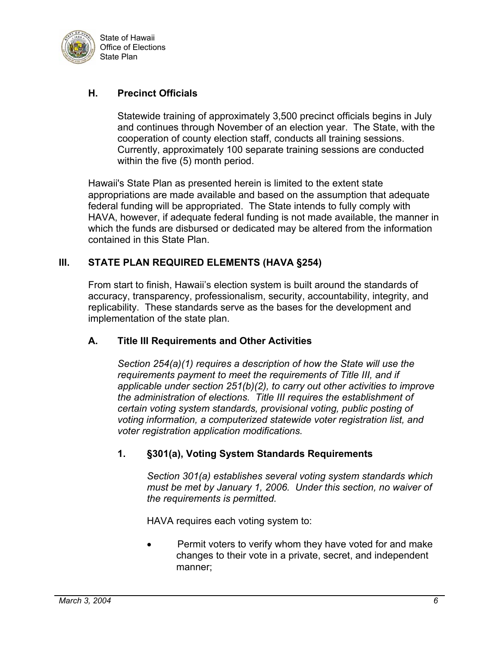

## **H. Precinct Officials**

Statewide training of approximately 3,500 precinct officials begins in July and continues through November of an election year. The State, with the cooperation of county election staff, conducts all training sessions. Currently, approximately 100 separate training sessions are conducted within the five (5) month period.

Hawaii's State Plan as presented herein is limited to the extent state appropriations are made available and based on the assumption that adequate federal funding will be appropriated. The State intends to fully comply with HAVA, however, if adequate federal funding is not made available, the manner in which the funds are disbursed or dedicated may be altered from the information contained in this State Plan.

#### **III. STATE PLAN REQUIRED ELEMENTS (HAVA §254)**

From start to finish, Hawaii's election system is built around the standards of accuracy, transparency, professionalism, security, accountability, integrity, and replicability. These standards serve as the bases for the development and implementation of the state plan.

#### **A. Title III Requirements and Other Activities**

*Section 254(a)(1) requires a description of how the State will use the requirements payment to meet the requirements of Title III, and if applicable under section 251(b)(2), to carry out other activities to improve the administration of elections. Title III requires the establishment of certain voting system standards, provisional voting, public posting of voting information, a computerized statewide voter registration list, and voter registration application modifications.*

## **1. §301(a), Voting System Standards Requirements**

*Section 301(a) establishes several voting system standards which must be met by January 1, 2006. Under this section, no waiver of the requirements is permitted.* 

HAVA requires each voting system to:

Permit voters to verify whom they have voted for and make changes to their vote in a private, secret, and independent manner;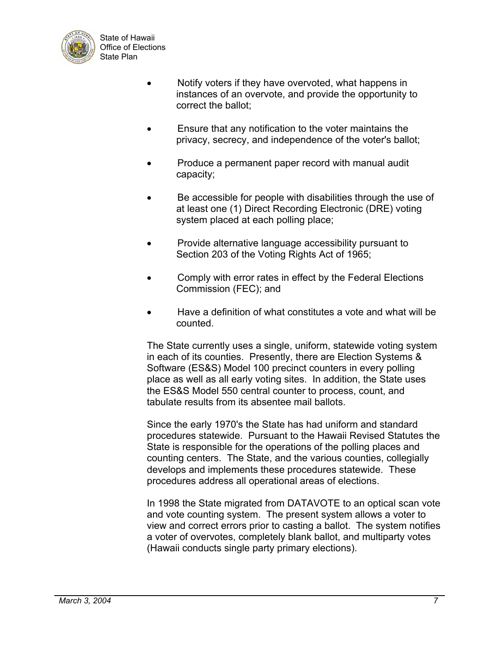

- Notify voters if they have overvoted, what happens in instances of an overvote, and provide the opportunity to correct the ballot;
- Ensure that any notification to the voter maintains the privacy, secrecy, and independence of the voter's ballot;
- Produce a permanent paper record with manual audit capacity;
- Be accessible for people with disabilities through the use of at least one (1) Direct Recording Electronic (DRE) voting system placed at each polling place;
- Provide alternative language accessibility pursuant to Section 203 of the Voting Rights Act of 1965;
- Comply with error rates in effect by the Federal Elections Commission (FEC); and
- Have a definition of what constitutes a vote and what will be counted.

The State currently uses a single, uniform, statewide voting system in each of its counties. Presently, there are Election Systems & Software (ES&S) Model 100 precinct counters in every polling place as well as all early voting sites. In addition, the State uses the ES&S Model 550 central counter to process, count, and tabulate results from its absentee mail ballots.

Since the early 1970's the State has had uniform and standard procedures statewide. Pursuant to the Hawaii Revised Statutes the State is responsible for the operations of the polling places and counting centers. The State, and the various counties, collegially develops and implements these procedures statewide. These procedures address all operational areas of elections.

In 1998 the State migrated from DATAVOTE to an optical scan vote and vote counting system. The present system allows a voter to view and correct errors prior to casting a ballot. The system notifies a voter of overvotes, completely blank ballot, and multiparty votes (Hawaii conducts single party primary elections).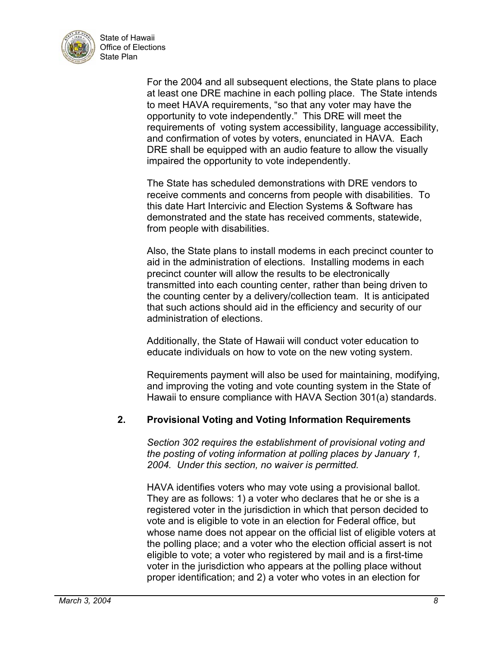

> For the 2004 and all subsequent elections, the State plans to place at least one DRE machine in each polling place. The State intends to meet HAVA requirements, "so that any voter may have the opportunity to vote independently." This DRE will meet the requirements of voting system accessibility, language accessibility, and confirmation of votes by voters, enunciated in HAVA. Each DRE shall be equipped with an audio feature to allow the visually impaired the opportunity to vote independently.

The State has scheduled demonstrations with DRE vendors to receive comments and concerns from people with disabilities. To this date Hart Intercivic and Election Systems & Software has demonstrated and the state has received comments, statewide, from people with disabilities.

Also, the State plans to install modems in each precinct counter to aid in the administration of elections. Installing modems in each precinct counter will allow the results to be electronically transmitted into each counting center, rather than being driven to the counting center by a delivery/collection team. It is anticipated that such actions should aid in the efficiency and security of our administration of elections.

Additionally, the State of Hawaii will conduct voter education to educate individuals on how to vote on the new voting system.

Requirements payment will also be used for maintaining, modifying, and improving the voting and vote counting system in the State of Hawaii to ensure compliance with HAVA Section 301(a) standards.

## **2. Provisional Voting and Voting Information Requirements**

*Section 302 requires the establishment of provisional voting and the posting of voting information at polling places by January 1, 2004. Under this section, no waiver is permitted.* 

HAVA identifies voters who may vote using a provisional ballot. They are as follows: 1) a voter who declares that he or she is a registered voter in the jurisdiction in which that person decided to vote and is eligible to vote in an election for Federal office, but whose name does not appear on the official list of eligible voters at the polling place; and a voter who the election official assert is not eligible to vote; a voter who registered by mail and is a first-time voter in the jurisdiction who appears at the polling place without proper identification; and 2) a voter who votes in an election for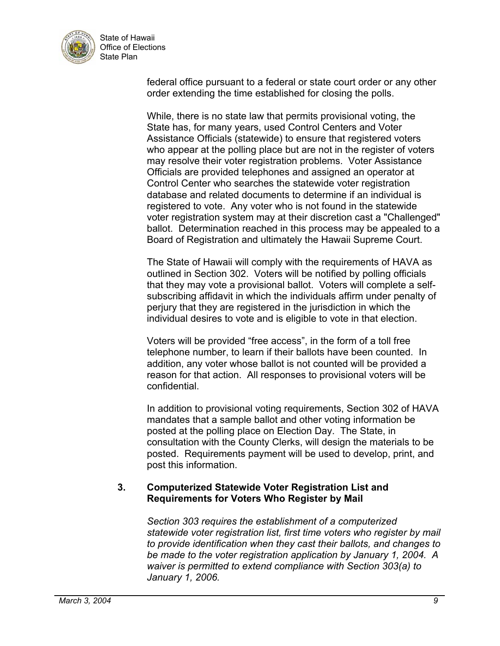

> federal office pursuant to a federal or state court order or any other order extending the time established for closing the polls.

While, there is no state law that permits provisional voting, the State has, for many years, used Control Centers and Voter Assistance Officials (statewide) to ensure that registered voters who appear at the polling place but are not in the register of voters may resolve their voter registration problems. Voter Assistance Officials are provided telephones and assigned an operator at Control Center who searches the statewide voter registration database and related documents to determine if an individual is registered to vote. Any voter who is not found in the statewide voter registration system may at their discretion cast a "Challenged" ballot. Determination reached in this process may be appealed to a Board of Registration and ultimately the Hawaii Supreme Court.

The State of Hawaii will comply with the requirements of HAVA as outlined in Section 302. Voters will be notified by polling officials that they may vote a provisional ballot. Voters will complete a selfsubscribing affidavit in which the individuals affirm under penalty of perjury that they are registered in the jurisdiction in which the individual desires to vote and is eligible to vote in that election.

Voters will be provided "free access", in the form of a toll free telephone number, to learn if their ballots have been counted. In addition, any voter whose ballot is not counted will be provided a reason for that action. All responses to provisional voters will be confidential.

In addition to provisional voting requirements, Section 302 of HAVA mandates that a sample ballot and other voting information be posted at the polling place on Election Day. The State, in consultation with the County Clerks, will design the materials to be posted. Requirements payment will be used to develop, print, and post this information.

## **3. Computerized Statewide Voter Registration List and Requirements for Voters Who Register by Mail**

*Section 303 requires the establishment of a computerized statewide voter registration list, first time voters who register by mail to provide identification when they cast their ballots, and changes to be made to the voter registration application by January 1, 2004. A waiver is permitted to extend compliance with Section 303(a) to January 1, 2006.*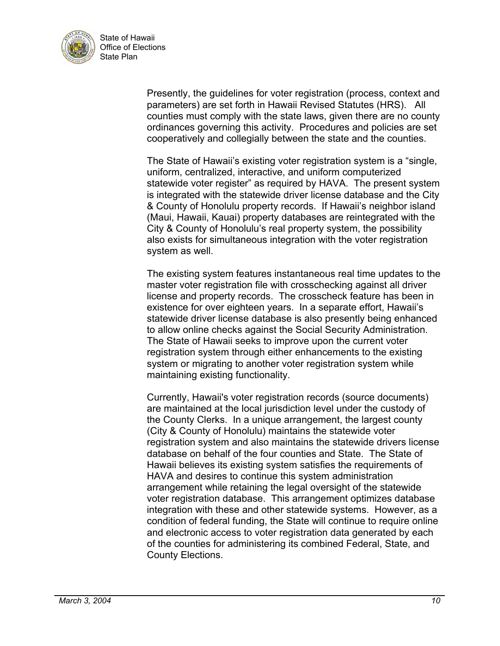

> Presently, the guidelines for voter registration (process, context and parameters) are set forth in Hawaii Revised Statutes (HRS). All counties must comply with the state laws, given there are no county ordinances governing this activity. Procedures and policies are set cooperatively and collegially between the state and the counties.

> The State of Hawaii's existing voter registration system is a "single, uniform, centralized, interactive, and uniform computerized statewide voter register" as required by HAVA. The present system is integrated with the statewide driver license database and the City & County of Honolulu property records. If Hawaii's neighbor island (Maui, Hawaii, Kauai) property databases are reintegrated with the City & County of Honolulu's real property system, the possibility also exists for simultaneous integration with the voter registration system as well.

> The existing system features instantaneous real time updates to the master voter registration file with crosschecking against all driver license and property records. The crosscheck feature has been in existence for over eighteen years. In a separate effort, Hawaii's statewide driver license database is also presently being enhanced to allow online checks against the Social Security Administration. The State of Hawaii seeks to improve upon the current voter registration system through either enhancements to the existing system or migrating to another voter registration system while maintaining existing functionality.

> Currently, Hawaii's voter registration records (source documents) are maintained at the local jurisdiction level under the custody of the County Clerks. In a unique arrangement, the largest county (City & County of Honolulu) maintains the statewide voter registration system and also maintains the statewide drivers license database on behalf of the four counties and State. The State of Hawaii believes its existing system satisfies the requirements of HAVA and desires to continue this system administration arrangement while retaining the legal oversight of the statewide voter registration database. This arrangement optimizes database integration with these and other statewide systems. However, as a condition of federal funding, the State will continue to require online and electronic access to voter registration data generated by each of the counties for administering its combined Federal, State, and County Elections.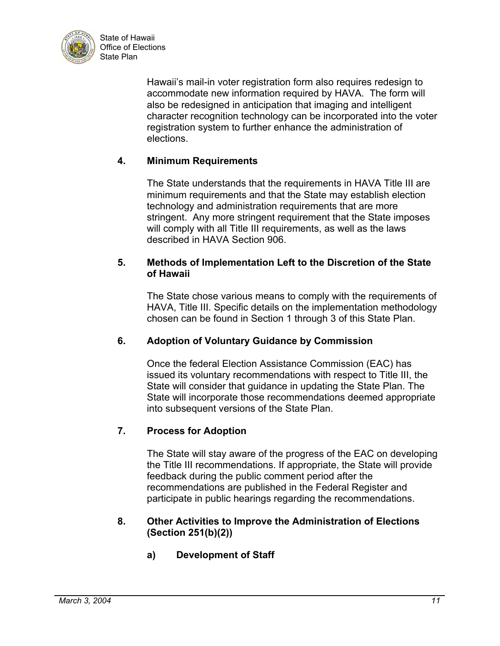

> Hawaii's mail-in voter registration form also requires redesign to accommodate new information required by HAVA. The form will also be redesigned in anticipation that imaging and intelligent character recognition technology can be incorporated into the voter registration system to further enhance the administration of elections.

## **4. Minimum Requirements**

The State understands that the requirements in HAVA Title III are minimum requirements and that the State may establish election technology and administration requirements that are more stringent. Any more stringent requirement that the State imposes will comply with all Title III requirements, as well as the laws described in HAVA Section 906.

### **5. Methods of Implementation Left to the Discretion of the State of Hawaii**

The State chose various means to comply with the requirements of HAVA, Title III. Specific details on the implementation methodology chosen can be found in Section 1 through 3 of this State Plan.

## **6. Adoption of Voluntary Guidance by Commission**

Once the federal Election Assistance Commission (EAC) has issued its voluntary recommendations with respect to Title III, the State will consider that guidance in updating the State Plan. The State will incorporate those recommendations deemed appropriate into subsequent versions of the State Plan.

## **7. Process for Adoption**

The State will stay aware of the progress of the EAC on developing the Title III recommendations. If appropriate, the State will provide feedback during the public comment period after the recommendations are published in the Federal Register and participate in public hearings regarding the recommendations.

#### **8. Other Activities to Improve the Administration of Elections (Section 251(b)(2))**

**a) Development of Staff**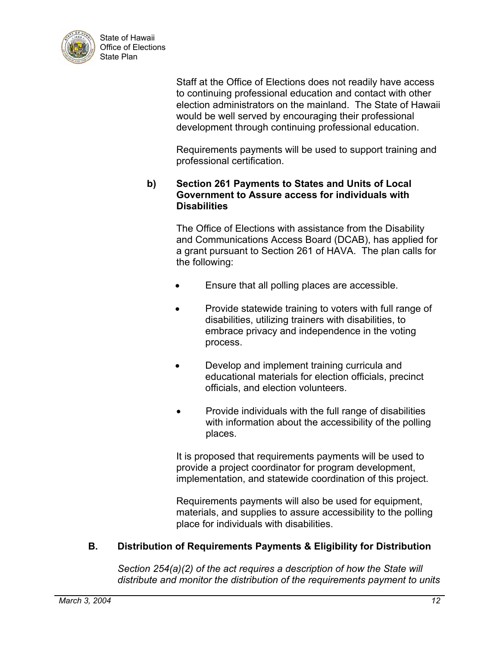

> Staff at the Office of Elections does not readily have access to continuing professional education and contact with other election administrators on the mainland. The State of Hawaii would be well served by encouraging their professional development through continuing professional education.

Requirements payments will be used to support training and professional certification.

#### **b) Section 261 Payments to States and Units of Local Government to Assure access for individuals with Disabilities**

The Office of Elections with assistance from the Disability and Communications Access Board (DCAB), has applied for a grant pursuant to Section 261 of HAVA. The plan calls for the following:

- Ensure that all polling places are accessible.
- Provide statewide training to voters with full range of disabilities, utilizing trainers with disabilities, to embrace privacy and independence in the voting process.
- Develop and implement training curricula and educational materials for election officials, precinct officials, and election volunteers.
- Provide individuals with the full range of disabilities with information about the accessibility of the polling places.

It is proposed that requirements payments will be used to provide a project coordinator for program development, implementation, and statewide coordination of this project.

Requirements payments will also be used for equipment, materials, and supplies to assure accessibility to the polling place for individuals with disabilities.

## **B. Distribution of Requirements Payments & Eligibility for Distribution**

*Section 254(a)(2) of the act requires a description of how the State will distribute and monitor the distribution of the requirements payment to units*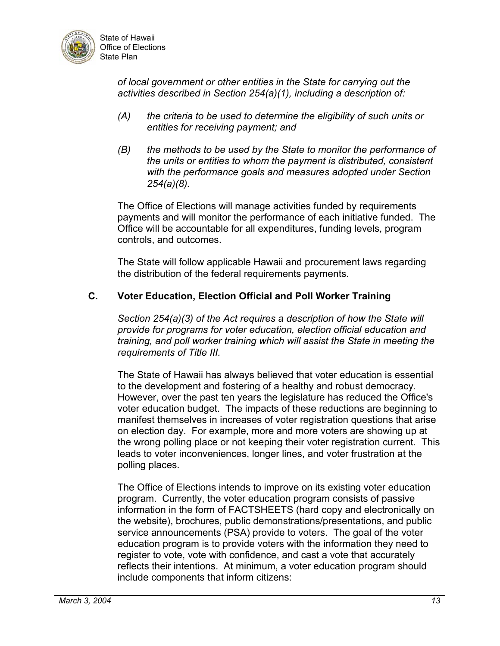

> *of local government or other entities in the State for carrying out the activities described in Section 254(a)(1), including a description of:*

- *(A) the criteria to be used to determine the eligibility of such units or entities for receiving payment; and*
- *(B) the methods to be used by the State to monitor the performance of the units or entities to whom the payment is distributed, consistent with the performance goals and measures adopted under Section 254(a)(8).*

The Office of Elections will manage activities funded by requirements payments and will monitor the performance of each initiative funded. The Office will be accountable for all expenditures, funding levels, program controls, and outcomes.

The State will follow applicable Hawaii and procurement laws regarding the distribution of the federal requirements payments.

## **C. Voter Education, Election Official and Poll Worker Training**

*Section 254(a)(3) of the Act requires a description of how the State will provide for programs for voter education, election official education and training, and poll worker training which will assist the State in meeting the requirements of Title III.* 

The State of Hawaii has always believed that voter education is essential to the development and fostering of a healthy and robust democracy. However, over the past ten years the legislature has reduced the Office's voter education budget. The impacts of these reductions are beginning to manifest themselves in increases of voter registration questions that arise on election day. For example, more and more voters are showing up at the wrong polling place or not keeping their voter registration current. This leads to voter inconveniences, longer lines, and voter frustration at the polling places.

The Office of Elections intends to improve on its existing voter education program. Currently, the voter education program consists of passive information in the form of FACTSHEETS (hard copy and electronically on the website), brochures, public demonstrations/presentations, and public service announcements (PSA) provide to voters. The goal of the voter education program is to provide voters with the information they need to register to vote, vote with confidence, and cast a vote that accurately reflects their intentions. At minimum, a voter education program should include components that inform citizens: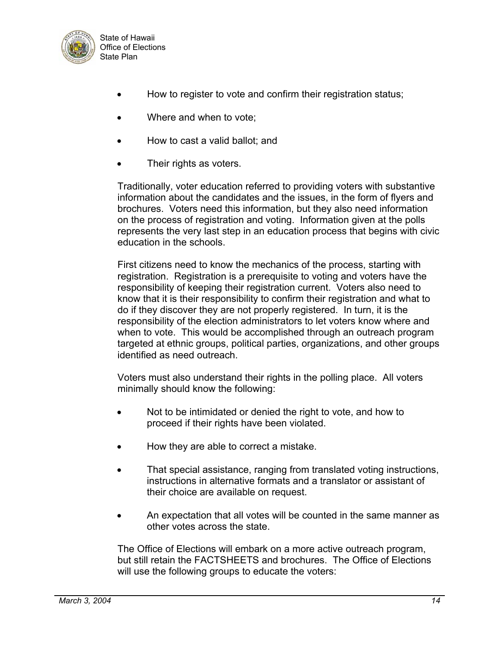

- How to register to vote and confirm their registration status;
- Where and when to vote;
- How to cast a valid ballot; and
- Their rights as voters.

Traditionally, voter education referred to providing voters with substantive information about the candidates and the issues, in the form of flyers and brochures. Voters need this information, but they also need information on the process of registration and voting. Information given at the polls represents the very last step in an education process that begins with civic education in the schools.

First citizens need to know the mechanics of the process, starting with registration. Registration is a prerequisite to voting and voters have the responsibility of keeping their registration current. Voters also need to know that it is their responsibility to confirm their registration and what to do if they discover they are not properly registered. In turn, it is the responsibility of the election administrators to let voters know where and when to vote. This would be accomplished through an outreach program targeted at ethnic groups, political parties, organizations, and other groups identified as need outreach.

Voters must also understand their rights in the polling place. All voters minimally should know the following:

- Not to be intimidated or denied the right to vote, and how to proceed if their rights have been violated.
- How they are able to correct a mistake.
- That special assistance, ranging from translated voting instructions, instructions in alternative formats and a translator or assistant of their choice are available on request.
- An expectation that all votes will be counted in the same manner as other votes across the state.

The Office of Elections will embark on a more active outreach program, but still retain the FACTSHEETS and brochures. The Office of Elections will use the following groups to educate the voters: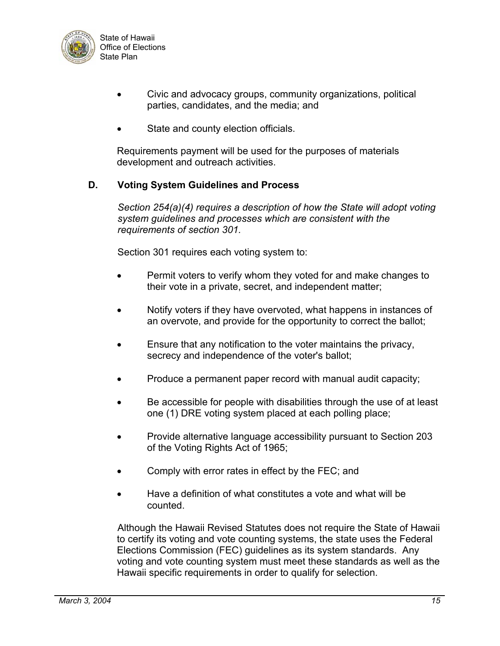

- Civic and advocacy groups, community organizations, political parties, candidates, and the media; and
- State and county election officials.

Requirements payment will be used for the purposes of materials development and outreach activities.

#### **D. Voting System Guidelines and Process**

*Section 254(a)(4) requires a description of how the State will adopt voting system guidelines and processes which are consistent with the requirements of section 301.*

Section 301 requires each voting system to:

- Permit voters to verify whom they voted for and make changes to their vote in a private, secret, and independent matter;
- Notify voters if they have overvoted, what happens in instances of an overvote, and provide for the opportunity to correct the ballot;
- Ensure that any notification to the voter maintains the privacy, secrecy and independence of the voter's ballot;
- Produce a permanent paper record with manual audit capacity;
- Be accessible for people with disabilities through the use of at least one (1) DRE voting system placed at each polling place;
- Provide alternative language accessibility pursuant to Section 203 of the Voting Rights Act of 1965;
- Comply with error rates in effect by the FEC; and
- Have a definition of what constitutes a vote and what will be counted.

Although the Hawaii Revised Statutes does not require the State of Hawaii to certify its voting and vote counting systems, the state uses the Federal Elections Commission (FEC) guidelines as its system standards. Any voting and vote counting system must meet these standards as well as the Hawaii specific requirements in order to qualify for selection.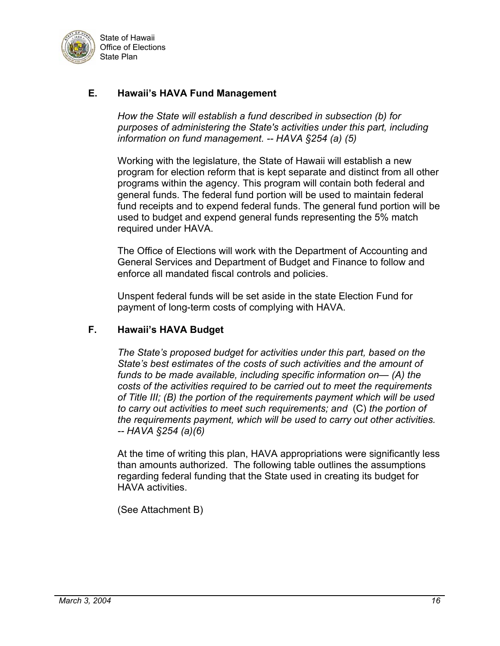

## **E. Hawaii's HAVA Fund Management**

*How the State will establish a fund described in subsection (b) for purposes of administering the State's activities under this part, including information on fund management. -- HAVA §254 (a) (5)* 

Working with the legislature, the State of Hawaii will establish a new program for election reform that is kept separate and distinct from all other programs within the agency. This program will contain both federal and general funds. The federal fund portion will be used to maintain federal fund receipts and to expend federal funds. The general fund portion will be used to budget and expend general funds representing the 5% match required under HAVA.

The Office of Elections will work with the Department of Accounting and General Services and Department of Budget and Finance to follow and enforce all mandated fiscal controls and policies.

Unspent federal funds will be set aside in the state Election Fund for payment of long-term costs of complying with HAVA.

#### **F. Hawaii's HAVA Budget**

*The State's proposed budget for activities under this part, based on the State's best estimates of the costs of such activities and the amount of funds to be made available, including specific information on— (A) the costs of the activities required to be carried out to meet the requirements of Title III; (B) the portion of the requirements payment which will be used to carry out activities to meet such requirements; and* (C) *the portion of the requirements payment, which will be used to carry out other activities. -- HAVA §254 (a)(6)*

At the time of writing this plan, HAVA appropriations were significantly less than amounts authorized. The following table outlines the assumptions regarding federal funding that the State used in creating its budget for HAVA activities.

(See Attachment B)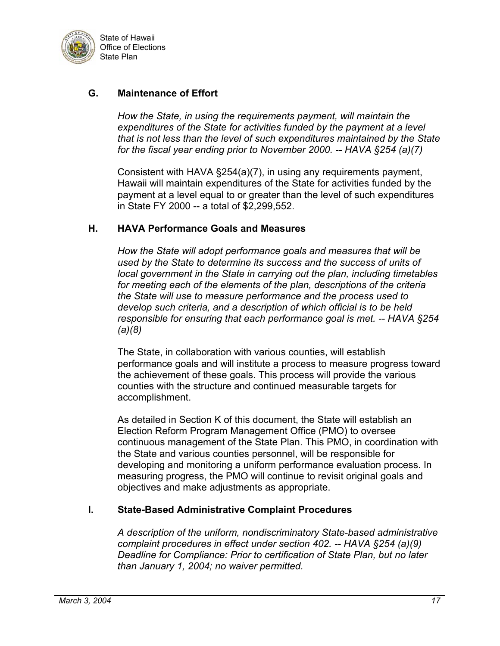

## **G. Maintenance of Effort**

*How the State, in using the requirements payment, will maintain the expenditures of the State for activities funded by the payment at a level that is not less than the level of such expenditures maintained by the State for the fiscal year ending prior to November 2000. -- HAVA §254 (a)(7)*

Consistent with HAVA §254(a)(7), in using any requirements payment, Hawaii will maintain expenditures of the State for activities funded by the payment at a level equal to or greater than the level of such expenditures in State FY 2000 -- a total of \$2,299,552.

#### **H. HAVA Performance Goals and Measures**

*How the State will adopt performance goals and measures that will be used by the State to determine its success and the success of units of local government in the State in carrying out the plan, including timetables for meeting each of the elements of the plan, descriptions of the criteria the State will use to measure performance and the process used to develop such criteria, and a description of which official is to be held responsible for ensuring that each performance goal is met. -- HAVA §254 (a)(8)* 

The State, in collaboration with various counties, will establish performance goals and will institute a process to measure progress toward the achievement of these goals. This process will provide the various counties with the structure and continued measurable targets for accomplishment.

As detailed in Section K of this document, the State will establish an Election Reform Program Management Office (PMO) to oversee continuous management of the State Plan. This PMO, in coordination with the State and various counties personnel, will be responsible for developing and monitoring a uniform performance evaluation process. In measuring progress, the PMO will continue to revisit original goals and objectives and make adjustments as appropriate.

## **I. State-Based Administrative Complaint Procedures**

*A description of the uniform, nondiscriminatory State-based administrative complaint procedures in effect under section 402. -- HAVA §254 (a)(9) Deadline for Compliance: Prior to certification of State Plan, but no later than January 1, 2004; no waiver permitted.*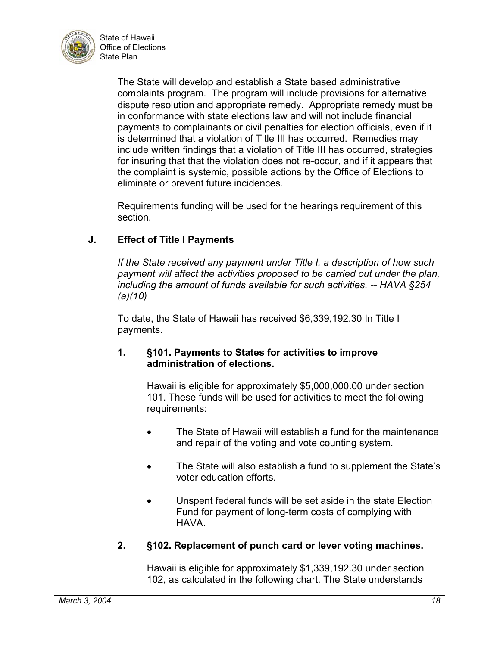

> The State will develop and establish a State based administrative complaints program. The program will include provisions for alternative dispute resolution and appropriate remedy. Appropriate remedy must be in conformance with state elections law and will not include financial payments to complainants or civil penalties for election officials, even if it is determined that a violation of Title III has occurred. Remedies may include written findings that a violation of Title III has occurred, strategies for insuring that that the violation does not re-occur, and if it appears that the complaint is systemic, possible actions by the Office of Elections to eliminate or prevent future incidences.

Requirements funding will be used for the hearings requirement of this section.

## **J. Effect of Title I Payments**

*If the State received any payment under Title I, a description of how such payment will affect the activities proposed to be carried out under the plan, including the amount of funds available for such activities. -- HAVA §254 (a)(10)* 

To date, the State of Hawaii has received \$6,339,192.30 In Title I payments.

#### **1. §101. Payments to States for activities to improve administration of elections.**

Hawaii is eligible for approximately \$5,000,000.00 under section 101. These funds will be used for activities to meet the following requirements:

- The State of Hawaii will establish a fund for the maintenance and repair of the voting and vote counting system.
- The State will also establish a fund to supplement the State's voter education efforts.
- Unspent federal funds will be set aside in the state Election Fund for payment of long-term costs of complying with HAVA.

## **2. §102. Replacement of punch card or lever voting machines.**

Hawaii is eligible for approximately \$1,339,192.30 under section 102, as calculated in the following chart. The State understands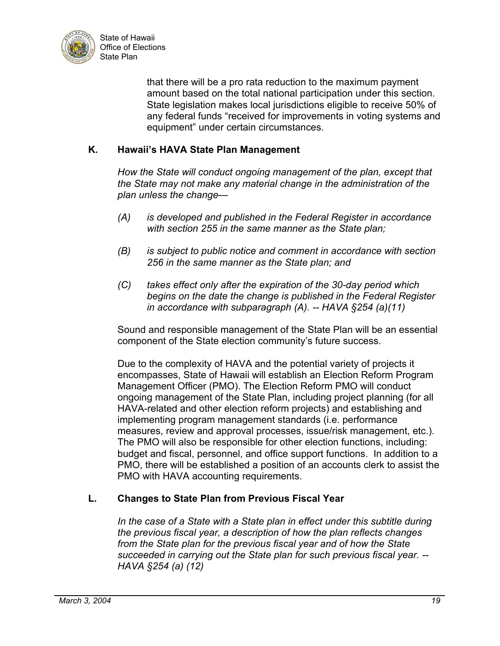

that there will be a pro rata reduction to the maximum payment amount based on the total national participation under this section. State legislation makes local jurisdictions eligible to receive 50% of any federal funds "received for improvements in voting systems and equipment" under certain circumstances.

### **K. Hawaii's HAVA State Plan Management**

*How the State will conduct ongoing management of the plan, except that the State may not make any material change in the administration of the plan unless the change—* 

- *(A) is developed and published in the Federal Register in accordance with section 255 in the same manner as the State plan;*
- *(B) is subject to public notice and comment in accordance with section 256 in the same manner as the State plan; and*
- *(C) takes effect only after the expiration of the 30-day period which begins on the date the change is published in the Federal Register in accordance with subparagraph (A). -- HAVA §254 (a)(11)*

Sound and responsible management of the State Plan will be an essential component of the State election community's future success.

Due to the complexity of HAVA and the potential variety of projects it encompasses, State of Hawaii will establish an Election Reform Program Management Officer (PMO). The Election Reform PMO will conduct ongoing management of the State Plan, including project planning (for all HAVA-related and other election reform projects) and establishing and implementing program management standards (i.e. performance measures, review and approval processes, issue/risk management, etc.). The PMO will also be responsible for other election functions, including: budget and fiscal, personnel, and office support functions. In addition to a PMO, there will be established a position of an accounts clerk to assist the PMO with HAVA accounting requirements.

## **L. Changes to State Plan from Previous Fiscal Year**

*In the case of a State with a State plan in effect under this subtitle during the previous fiscal year, a description of how the plan reflects changes from the State plan for the previous fiscal year and of how the State succeeded in carrying out the State plan for such previous fiscal year. -- HAVA §254 (a) (12)*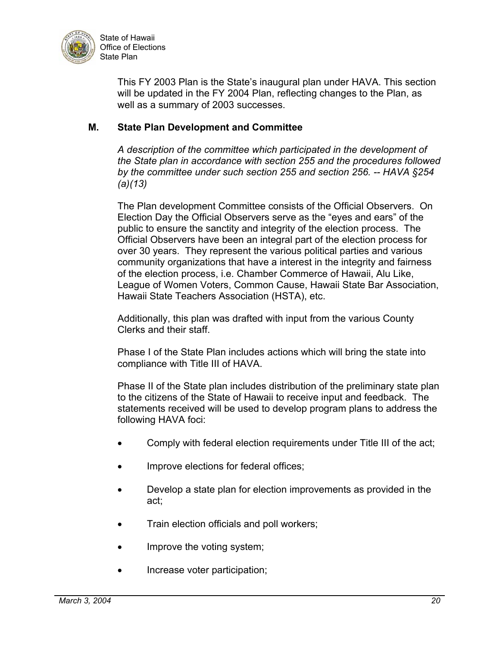

This FY 2003 Plan is the State's inaugural plan under HAVA. This section will be updated in the FY 2004 Plan, reflecting changes to the Plan, as well as a summary of 2003 successes.

### **M. State Plan Development and Committee**

*A description of the committee which participated in the development of the State plan in accordance with section 255 and the procedures followed by the committee under such section 255 and section 256. -- HAVA §254 (a)(13)*

The Plan development Committee consists of the Official Observers. On Election Day the Official Observers serve as the "eyes and ears" of the public to ensure the sanctity and integrity of the election process. The Official Observers have been an integral part of the election process for over 30 years. They represent the various political parties and various community organizations that have a interest in the integrity and fairness of the election process, i.e. Chamber Commerce of Hawaii, Alu Like, League of Women Voters, Common Cause, Hawaii State Bar Association, Hawaii State Teachers Association (HSTA), etc.

Additionally, this plan was drafted with input from the various County Clerks and their staff.

Phase I of the State Plan includes actions which will bring the state into compliance with Title III of HAVA.

Phase II of the State plan includes distribution of the preliminary state plan to the citizens of the State of Hawaii to receive input and feedback. The statements received will be used to develop program plans to address the following HAVA foci:

- Comply with federal election requirements under Title III of the act;
- Improve elections for federal offices;
- Develop a state plan for election improvements as provided in the act;
- Train election officials and poll workers;
- Improve the voting system;
- Increase voter participation;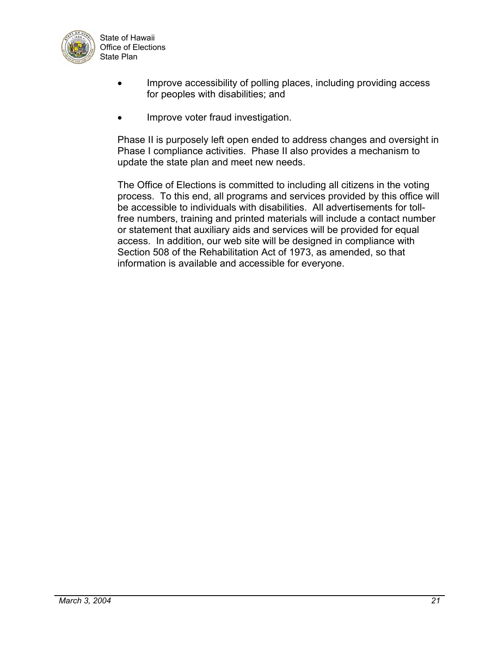

- Improve accessibility of polling places, including providing access for peoples with disabilities; and
- Improve voter fraud investigation.

Phase II is purposely left open ended to address changes and oversight in Phase I compliance activities. Phase II also provides a mechanism to update the state plan and meet new needs.

The Office of Elections is committed to including all citizens in the voting process. To this end, all programs and services provided by this office will be accessible to individuals with disabilities. All advertisements for tollfree numbers, training and printed materials will include a contact number or statement that auxiliary aids and services will be provided for equal access. In addition, our web site will be designed in compliance with Section 508 of the Rehabilitation Act of 1973, as amended, so that information is available and accessible for everyone.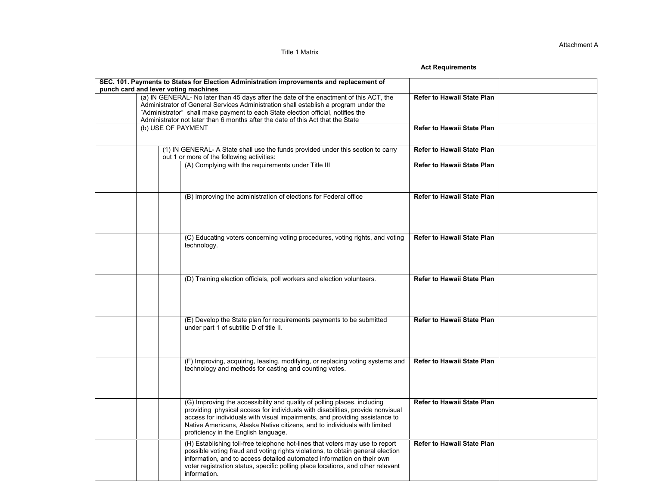Title 1 Matrix

#### **Act Requirements**

| punch card and lever voting machines | SEC. 101. Payments to States for Election Administration improvements and replacement of                                                                                                                                                                                                                                                                       |                                   |  |
|--------------------------------------|----------------------------------------------------------------------------------------------------------------------------------------------------------------------------------------------------------------------------------------------------------------------------------------------------------------------------------------------------------------|-----------------------------------|--|
|                                      | (a) IN GENERAL- No later than 45 days after the date of the enactment of this ACT, the<br>Administrator of General Services Administration shall establish a program under the<br>"Administrator" shall make payment to each State election official, notifies the<br>Administrator not later than 6 months after the date of this Act that the State          | Refer to Hawaii State Plan        |  |
|                                      | (b) USE OF PAYMENT                                                                                                                                                                                                                                                                                                                                             | Refer to Hawaii State Plan        |  |
|                                      | (1) IN GENERAL- A State shall use the funds provided under this section to carry<br>out 1 or more of the following activities:                                                                                                                                                                                                                                 | Refer to Hawaii State Plan        |  |
|                                      | (A) Complying with the requirements under Title III                                                                                                                                                                                                                                                                                                            | Refer to Hawaii State Plan        |  |
|                                      | (B) Improving the administration of elections for Federal office                                                                                                                                                                                                                                                                                               | <b>Refer to Hawaii State Plan</b> |  |
|                                      | (C) Educating voters concerning voting procedures, voting rights, and voting<br>technology.                                                                                                                                                                                                                                                                    | <b>Refer to Hawaii State Plan</b> |  |
|                                      | (D) Training election officials, poll workers and election volunteers.                                                                                                                                                                                                                                                                                         | Refer to Hawaii State Plan        |  |
|                                      | (E) Develop the State plan for requirements payments to be submitted<br>under part 1 of subtitle D of title II.                                                                                                                                                                                                                                                | Refer to Hawaii State Plan        |  |
|                                      | (F) Improving, acquiring, leasing, modifying, or replacing voting systems and<br>technology and methods for casting and counting votes.                                                                                                                                                                                                                        | Refer to Hawaii State Plan        |  |
|                                      | (G) Improving the accessibility and quality of polling places, including<br>providing physical access for individuals with disabilities, provide nonvisual<br>access for individuals with visual impairments, and providing assistance to<br>Native Americans, Alaska Native citizens, and to individuals with limited<br>proficiency in the English language. | <b>Refer to Hawaii State Plan</b> |  |
|                                      | (H) Establishing toll-free telephone hot-lines that voters may use to report<br>possible voting fraud and voting rights violations, to obtain general election<br>information, and to access detailed automated information on their own<br>voter registration status, specific polling place locations, and other relevant<br>information.                    | <b>Refer to Hawaii State Plan</b> |  |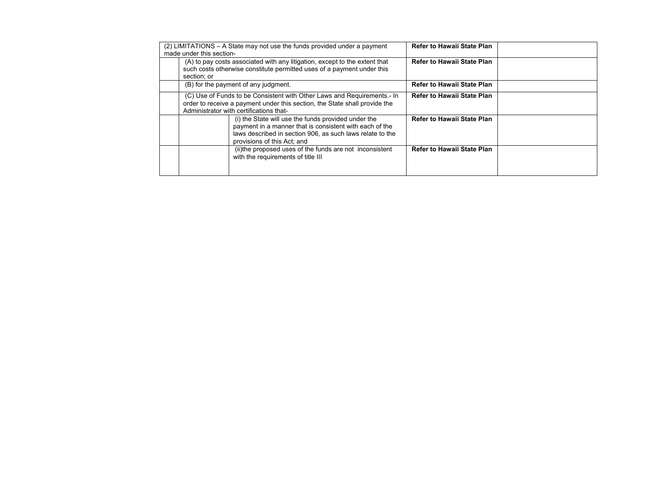|                                                                                                                                                                                                  | (2) LIMITATIONS – A State may not use the funds provided under a payment           |                                                                                                                      | <b>Refer to Hawaii State Plan</b> |  |
|--------------------------------------------------------------------------------------------------------------------------------------------------------------------------------------------------|------------------------------------------------------------------------------------|----------------------------------------------------------------------------------------------------------------------|-----------------------------------|--|
|                                                                                                                                                                                                  | made under this section-                                                           |                                                                                                                      |                                   |  |
|                                                                                                                                                                                                  | (A) to pay costs associated with any litigation, except to the extent that         |                                                                                                                      | <b>Refer to Hawaii State Plan</b> |  |
|                                                                                                                                                                                                  | such costs otherwise constitute permitted uses of a payment under this             |                                                                                                                      |                                   |  |
|                                                                                                                                                                                                  | section: or                                                                        |                                                                                                                      |                                   |  |
|                                                                                                                                                                                                  | (B) for the payment of any judgment.                                               |                                                                                                                      | <b>Refer to Hawaii State Plan</b> |  |
| (C) Use of Funds to be Consistent with Other Laws and Requirements.- In<br>order to receive a payment under this section, the State shall provide the<br>Administrator with certifications that- |                                                                                    | <b>Refer to Hawaii State Plan</b>                                                                                    |                                   |  |
|                                                                                                                                                                                                  | (i) the State will use the funds provided under the<br>provisions of this Act; and | payment in a manner that is consistent with each of the<br>laws described in section 906, as such laws relate to the | <b>Refer to Hawaii State Plan</b> |  |
|                                                                                                                                                                                                  | with the requirements of title III                                                 | (ii) the proposed uses of the funds are not inconsistent                                                             | <b>Refer to Hawaii State Plan</b> |  |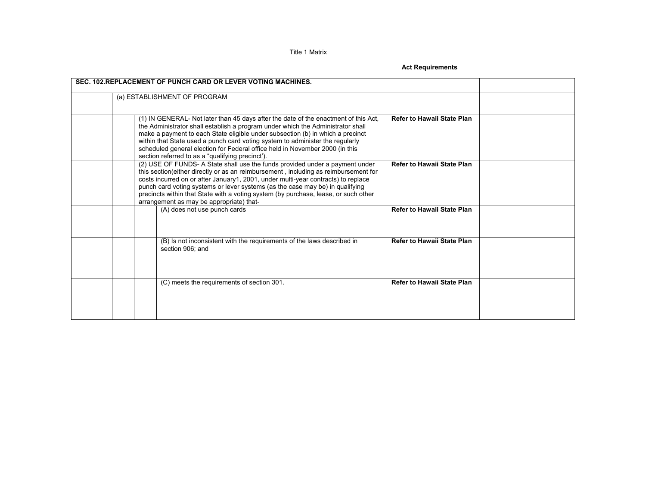Title 1 Matrix

**Act Requirements** 

| SEC. 102 REPLACEMENT OF PUNCH CARD OR LEVER VOTING MACHINES.                                                                                                                                                                                                                                                                                                                                                                                                                  |                                   |
|-------------------------------------------------------------------------------------------------------------------------------------------------------------------------------------------------------------------------------------------------------------------------------------------------------------------------------------------------------------------------------------------------------------------------------------------------------------------------------|-----------------------------------|
| (a) ESTABLISHMENT OF PROGRAM                                                                                                                                                                                                                                                                                                                                                                                                                                                  |                                   |
| (1) IN GENERAL- Not later than 45 days after the date of the enactment of this Act,<br>the Administrator shall establish a program under which the Administrator shall<br>make a payment to each State eligible under subsection (b) in which a precinct<br>within that State used a punch card voting system to administer the regularly<br>scheduled general election for Federal office held in November 2000 (in this<br>section referred to as a "qualifying precinct'). | <b>Refer to Hawaii State Plan</b> |
| (2) USE OF FUNDS- A State shall use the funds provided under a payment under<br>this section(either directly or as an reimbursement, including as reimbursement for<br>costs incurred on or after January1, 2001, under multi-year contracts) to replace<br>punch card voting systems or lever systems (as the case may be) in qualifying<br>precincts within that State with a voting system (by purchase, lease, or such other<br>arrangement as may be appropriate) that-  | <b>Refer to Hawaii State Plan</b> |
| (A) does not use punch cards                                                                                                                                                                                                                                                                                                                                                                                                                                                  | <b>Refer to Hawaii State Plan</b> |
| (B) Is not inconsistent with the requirements of the laws described in<br>section 906: and                                                                                                                                                                                                                                                                                                                                                                                    | <b>Refer to Hawaii State Plan</b> |
| (C) meets the requirements of section 301.                                                                                                                                                                                                                                                                                                                                                                                                                                    | <b>Refer to Hawaii State Plan</b> |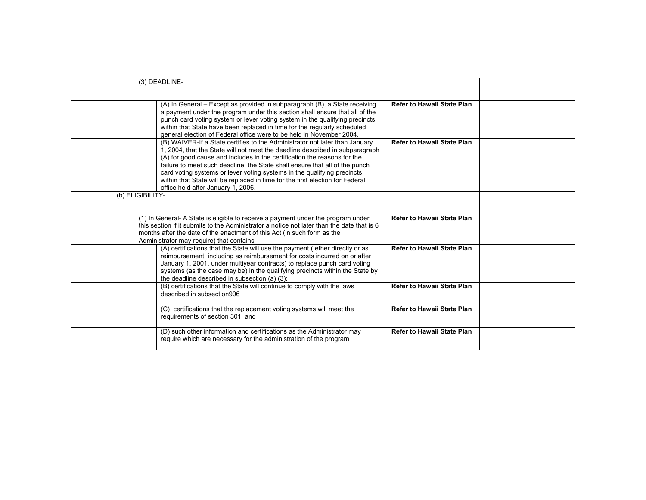|                  | (3) DEADLINE-                                                                                                                                            |                                   |  |
|------------------|----------------------------------------------------------------------------------------------------------------------------------------------------------|-----------------------------------|--|
|                  |                                                                                                                                                          |                                   |  |
|                  | (A) In General - Except as provided in subparagraph (B), a State receiving                                                                               | <b>Refer to Hawaii State Plan</b> |  |
|                  | a payment under the program under this section shall ensure that all of the                                                                              |                                   |  |
|                  | punch card voting system or lever voting system in the qualifying precincts                                                                              |                                   |  |
|                  | within that State have been replaced in time for the regularly scheduled                                                                                 |                                   |  |
|                  | general election of Federal office were to be held in November 2004.                                                                                     |                                   |  |
|                  | (B) WAIVER-If a State certifies to the Administrator not later than January                                                                              | <b>Refer to Hawaii State Plan</b> |  |
|                  | 1, 2004, that the State will not meet the deadline described in subparagraph<br>(A) for good cause and includes in the certification the reasons for the |                                   |  |
|                  | failure to meet such deadline, the State shall ensure that all of the punch                                                                              |                                   |  |
|                  | card voting systems or lever voting systems in the qualifying precincts                                                                                  |                                   |  |
|                  | within that State will be replaced in time for the first election for Federal                                                                            |                                   |  |
|                  | office held after January 1, 2006.                                                                                                                       |                                   |  |
| (b) ELIGIBILITY- |                                                                                                                                                          |                                   |  |
|                  |                                                                                                                                                          |                                   |  |
|                  | (1) In General- A State is eligible to receive a payment under the program under                                                                         | <b>Refer to Hawaii State Plan</b> |  |
|                  | this section if it submits to the Administrator a notice not later than the date that is 6                                                               |                                   |  |
|                  | months after the date of the enactment of this Act (in such form as the<br>Administrator may require) that contains-                                     |                                   |  |
|                  | (A) certifications that the State will use the payment (ether directly or as                                                                             | <b>Refer to Hawaii State Plan</b> |  |
|                  | reimbursement, including as reimbursement for costs incurred on or after                                                                                 |                                   |  |
|                  | January 1, 2001, under multiyear contracts) to replace punch card voting                                                                                 |                                   |  |
|                  | systems (as the case may be) in the qualifying precincts within the State by                                                                             |                                   |  |
|                  | the deadline described in subsection (a) (3);<br>(B) certifications that the State will continue to comply with the laws                                 | <b>Refer to Hawaii State Plan</b> |  |
|                  | described in subsection906                                                                                                                               |                                   |  |
|                  |                                                                                                                                                          |                                   |  |
|                  | (C) certifications that the replacement voting systems will meet the                                                                                     | Refer to Hawaii State Plan        |  |
|                  | requirements of section 301; and                                                                                                                         |                                   |  |
|                  | (D) such other information and certifications as the Administrator may                                                                                   | <b>Refer to Hawaii State Plan</b> |  |
|                  | require which are necessary for the administration of the program                                                                                        |                                   |  |
|                  |                                                                                                                                                          |                                   |  |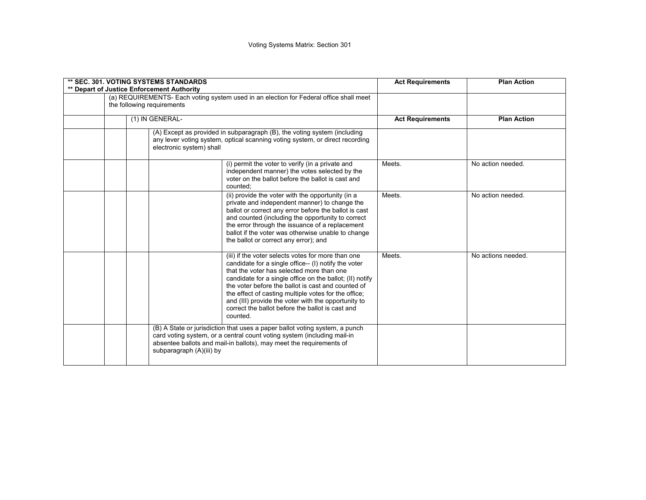|  | <b>** SEC. 301. VOTING SYSTEMS STANDARDS</b><br>** Depart of Justice Enforcement Authority                                                                                                                                                                                                                                                                                                                                                               |        | <b>Plan Action</b> |
|--|----------------------------------------------------------------------------------------------------------------------------------------------------------------------------------------------------------------------------------------------------------------------------------------------------------------------------------------------------------------------------------------------------------------------------------------------------------|--------|--------------------|
|  | (a) REQUIREMENTS- Each voting system used in an election for Federal office shall meet<br>the following requirements                                                                                                                                                                                                                                                                                                                                     |        |                    |
|  | (1) IN GENERAL-<br>(A) Except as provided in subparagraph (B), the voting system (including<br>any lever voting system, optical scanning voting system, or direct recording<br>electronic system) shall                                                                                                                                                                                                                                                  |        | <b>Plan Action</b> |
|  |                                                                                                                                                                                                                                                                                                                                                                                                                                                          |        |                    |
|  | (i) permit the voter to verify (in a private and<br>independent manner) the votes selected by the<br>voter on the ballot before the ballot is cast and<br>counted:                                                                                                                                                                                                                                                                                       | Meets. | No action needed.  |
|  | (ii) provide the voter with the opportunity (in a<br>private and independent manner) to change the<br>ballot or correct any error before the ballot is cast<br>and counted (including the opportunity to correct<br>the error through the issuance of a replacement<br>ballot if the voter was otherwise unable to change<br>the ballot or correct any error); and                                                                                       | Meets. | No action needed.  |
|  | (iii) if the voter selects votes for more than one<br>candidate for a single office-- (I) notify the voter<br>that the voter has selected more than one<br>candidate for a single office on the ballot; (II) notify<br>the voter before the ballot is cast and counted of<br>the effect of casting multiple votes for the office;<br>and (III) provide the voter with the opportunity to<br>correct the ballot before the ballot is cast and<br>counted. | Meets. | No actions needed. |
|  | (B) A State or jurisdiction that uses a paper ballot voting system, a punch<br>card voting system, or a central count voting system (including mail-in<br>absentee ballots and mail-in ballots), may meet the requirements of<br>subparagraph (A)(iii) by                                                                                                                                                                                                |        |                    |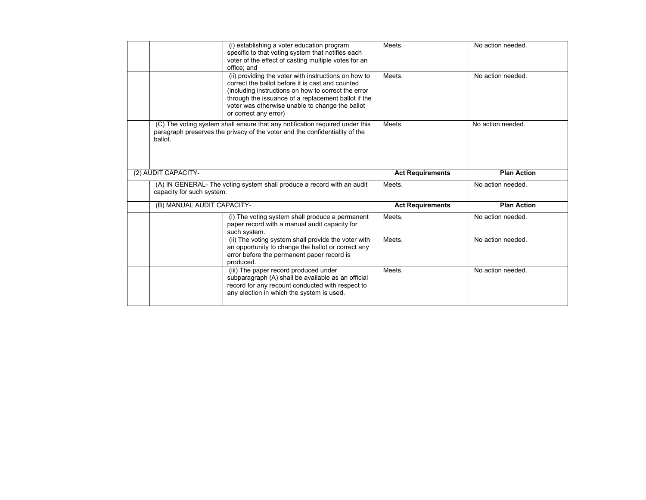|                            | (i) establishing a voter education program<br>specific to that voting system that notifies each<br>voter of the effect of casting multiple votes for an<br>office; and                                                                                                                             | Meets.                  | No action needed.  |
|----------------------------|----------------------------------------------------------------------------------------------------------------------------------------------------------------------------------------------------------------------------------------------------------------------------------------------------|-------------------------|--------------------|
|                            | (ii) providing the voter with instructions on how to<br>correct the ballot before it is cast and counted<br>(including instructions on how to correct the error<br>through the issuance of a replacement ballot if the<br>voter was otherwise unable to change the ballot<br>or correct any error) | Meets.                  | No action needed.  |
| ballot.                    | (C) The voting system shall ensure that any notification required under this<br>paragraph preserves the privacy of the voter and the confidentiality of the                                                                                                                                        | Meets.                  | No action needed.  |
| (2) AUDIT CAPACITY-        |                                                                                                                                                                                                                                                                                                    | <b>Act Requirements</b> | <b>Plan Action</b> |
|                            |                                                                                                                                                                                                                                                                                                    |                         | No action needed.  |
| capacity for such system.  | (A) IN GENERAL- The voting system shall produce a record with an audit                                                                                                                                                                                                                             | Meets.                  |                    |
| (B) MANUAL AUDIT CAPACITY- |                                                                                                                                                                                                                                                                                                    | <b>Act Requirements</b> | <b>Plan Action</b> |
|                            | (i) The voting system shall produce a permanent<br>paper record with a manual audit capacity for<br>such system.                                                                                                                                                                                   | Meets.                  | No action needed.  |
|                            | (ii) The voting system shall provide the voter with<br>an opportunity to change the ballot or correct any<br>error before the permanent paper record is<br>produced.                                                                                                                               | Meets.                  | No action needed.  |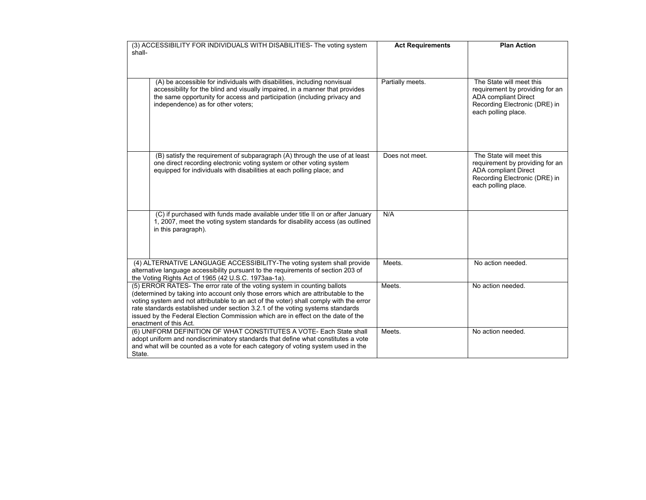|        | (3) ACCESSIBILITY FOR INDIVIDUALS WITH DISABILITIES- The voting system                                                                                                                                                                                                                                                                                                                                                                                   | <b>Act Requirements</b> | <b>Plan Action</b>                                                                                                                                 |
|--------|----------------------------------------------------------------------------------------------------------------------------------------------------------------------------------------------------------------------------------------------------------------------------------------------------------------------------------------------------------------------------------------------------------------------------------------------------------|-------------------------|----------------------------------------------------------------------------------------------------------------------------------------------------|
| shall- |                                                                                                                                                                                                                                                                                                                                                                                                                                                          |                         |                                                                                                                                                    |
|        |                                                                                                                                                                                                                                                                                                                                                                                                                                                          |                         |                                                                                                                                                    |
|        | (A) be accessible for individuals with disabilities, including nonvisual<br>accessibility for the blind and visually impaired, in a manner that provides<br>the same opportunity for access and participation (including privacy and<br>independence) as for other voters;                                                                                                                                                                               | Partially meets.        | The State will meet this<br>requirement by providing for an<br><b>ADA</b> compliant Direct<br>Recording Electronic (DRE) in<br>each polling place. |
|        | (B) satisfy the requirement of subparagraph (A) through the use of at least<br>one direct recording electronic voting system or other voting system<br>equipped for individuals with disabilities at each polling place; and                                                                                                                                                                                                                             | Does not meet.          | The State will meet this<br>requirement by providing for an<br><b>ADA</b> compliant Direct<br>Recording Electronic (DRE) in<br>each polling place. |
|        | (C) if purchased with funds made available under title II on or after January<br>1, 2007, meet the voting system standards for disability access (as outlined<br>in this paragraph).                                                                                                                                                                                                                                                                     | N/A                     |                                                                                                                                                    |
|        | (4) ALTERNATIVE LANGUAGE ACCESSIBILITY-The voting system shall provide<br>alternative language accessibility pursuant to the requirements of section 203 of<br>the Voting Rights Act of 1965 (42 U.S.C. 1973aa-1a).                                                                                                                                                                                                                                      | Meets.                  | No action needed.                                                                                                                                  |
|        | (5) ERROR RATES- The error rate of the voting system in counting ballots<br>(determined by taking into account only those errors which are attributable to the<br>voting system and not attributable to an act of the voter) shall comply with the error<br>rate standards established under section 3.2.1 of the voting systems standards<br>issued by the Federal Election Commission which are in effect on the date of the<br>enactment of this Act. | Meets.                  | No action needed.                                                                                                                                  |
| State. | (6) UNIFORM DEFINITION OF WHAT CONSTITUTES A VOTE- Each State shall<br>adopt uniform and nondiscriminatory standards that define what constitutes a vote<br>and what will be counted as a vote for each category of voting system used in the                                                                                                                                                                                                            | Meets.                  | No action needed.                                                                                                                                  |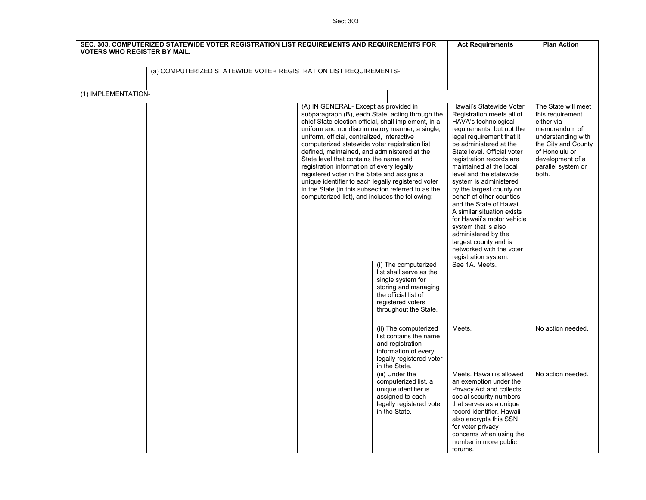Sect 303

| SEC. 303. COMPUTERIZED STATEWIDE VOTER REGISTRATION LIST REQUIREMENTS AND REQUIREMENTS FOR<br><b>VOTERS WHO REGISTER BY MAIL.</b> |                                                                                                                                                                                                                                                                                                                                                                                                                                                                                                                                                                                                                                                             | <b>Act Requirements</b>                                                                                                                                                                                                                                                                                                                                                                                                                                                                                                                                                                 | <b>Plan Action</b>                                                                                                                                                                       |
|-----------------------------------------------------------------------------------------------------------------------------------|-------------------------------------------------------------------------------------------------------------------------------------------------------------------------------------------------------------------------------------------------------------------------------------------------------------------------------------------------------------------------------------------------------------------------------------------------------------------------------------------------------------------------------------------------------------------------------------------------------------------------------------------------------------|-----------------------------------------------------------------------------------------------------------------------------------------------------------------------------------------------------------------------------------------------------------------------------------------------------------------------------------------------------------------------------------------------------------------------------------------------------------------------------------------------------------------------------------------------------------------------------------------|------------------------------------------------------------------------------------------------------------------------------------------------------------------------------------------|
| (a) COMPUTERIZED STATEWIDE VOTER REGISTRATION LIST REQUIREMENTS-                                                                  |                                                                                                                                                                                                                                                                                                                                                                                                                                                                                                                                                                                                                                                             |                                                                                                                                                                                                                                                                                                                                                                                                                                                                                                                                                                                         |                                                                                                                                                                                          |
| (1) IMPLEMENTATION-                                                                                                               |                                                                                                                                                                                                                                                                                                                                                                                                                                                                                                                                                                                                                                                             |                                                                                                                                                                                                                                                                                                                                                                                                                                                                                                                                                                                         |                                                                                                                                                                                          |
|                                                                                                                                   | (A) IN GENERAL- Except as provided in<br>subparagraph (B), each State, acting through the<br>chief State election official, shall implement, in a<br>uniform and nondiscriminatory manner, a single,<br>uniform, official, centralized, interactive<br>computerized statewide voter registration list<br>defined, maintained, and administered at the<br>State level that contains the name and<br>registration information of every legally<br>registered voter in the State and assigns a<br>unique identifier to each legally registered voter<br>in the State (in this subsection referred to as the<br>computerized list), and includes the following: | Hawaii's Statewide Voter<br>Registration meets all of<br>HAVA's technological<br>requirements, but not the<br>legal requirement that it<br>be administered at the<br>State level. Official voter<br>registration records are<br>maintained at the local<br>level and the statewide<br>system is administered<br>by the largest county on<br>behalf of other counties<br>and the State of Hawaii.<br>A similar situation exists<br>for Hawaii's motor vehicle<br>system that is also<br>administered by the<br>largest county and is<br>networked with the voter<br>registration system. | The State will meet<br>this requirement<br>either via<br>memorandum of<br>understanding with<br>the City and County<br>of Honolulu or<br>development of a<br>parallel system or<br>both. |
|                                                                                                                                   | (i) The computerized<br>list shall serve as the<br>single system for<br>storing and managing<br>the official list of<br>registered voters<br>throughout the State.                                                                                                                                                                                                                                                                                                                                                                                                                                                                                          | See 1A. Meets.                                                                                                                                                                                                                                                                                                                                                                                                                                                                                                                                                                          |                                                                                                                                                                                          |
|                                                                                                                                   | (ii) The computerized<br>list contains the name<br>and registration<br>information of every<br>legally registered voter<br>in the State.                                                                                                                                                                                                                                                                                                                                                                                                                                                                                                                    | Meets.                                                                                                                                                                                                                                                                                                                                                                                                                                                                                                                                                                                  | No action needed.                                                                                                                                                                        |
|                                                                                                                                   | (iii) Under the<br>computerized list, a<br>unique identifier is<br>assigned to each<br>legally registered voter<br>in the State.                                                                                                                                                                                                                                                                                                                                                                                                                                                                                                                            | Meets. Hawaii is allowed<br>an exemption under the<br>Privacy Act and collects<br>social security numbers<br>that serves as a unique<br>record identifier. Hawaii<br>also encrypts this SSN<br>for voter privacy<br>concerns when using the<br>number in more public<br>forums.                                                                                                                                                                                                                                                                                                         | No action needed.                                                                                                                                                                        |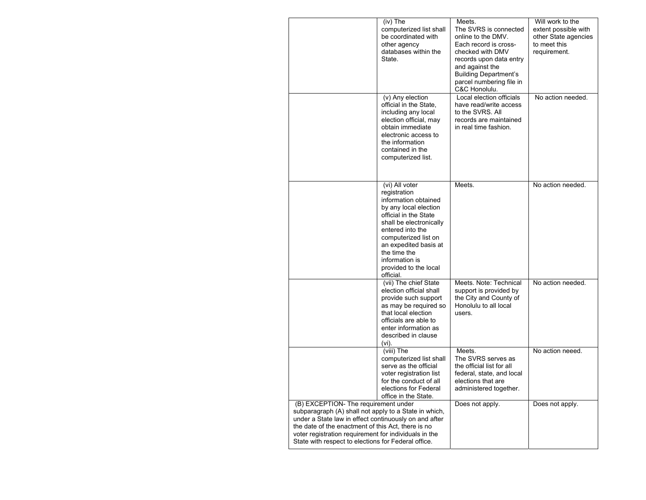|                                                                                                                                                                                                                                                                                                                              | (iv) The<br>computerized list shall<br>be coordinated with<br>other agency<br>databases within the<br>State.                                                                                                                                                                     | Meets.<br>The SVRS is connected<br>online to the DMV.<br>Each record is cross-<br>checked with DMV<br>records upon data entry<br>and against the<br><b>Building Department's</b><br>parcel numbering file in<br>C&C Honolulu. | Will work to the<br>extent possible with<br>other State agencies<br>to meet this<br>requirement. |
|------------------------------------------------------------------------------------------------------------------------------------------------------------------------------------------------------------------------------------------------------------------------------------------------------------------------------|----------------------------------------------------------------------------------------------------------------------------------------------------------------------------------------------------------------------------------------------------------------------------------|-------------------------------------------------------------------------------------------------------------------------------------------------------------------------------------------------------------------------------|--------------------------------------------------------------------------------------------------|
|                                                                                                                                                                                                                                                                                                                              | (v) Any election<br>official in the State,<br>including any local<br>election official, may<br>obtain immediate<br>electronic access to<br>the information<br>contained in the<br>computerized list.                                                                             | Local election officials<br>have read/write access<br>to the SVRS. All<br>records are maintained<br>in real time fashion.                                                                                                     | No action needed.                                                                                |
|                                                                                                                                                                                                                                                                                                                              | (vi) All voter<br>registration<br>information obtained<br>by any local election<br>official in the State<br>shall be electronically<br>entered into the<br>computerized list on<br>an expedited basis at<br>the time the<br>information is<br>provided to the local<br>official. | Meets.                                                                                                                                                                                                                        | No action needed.                                                                                |
|                                                                                                                                                                                                                                                                                                                              | (vii) The chief State<br>election official shall<br>provide such support<br>as may be required so<br>that local election<br>officials are able to<br>enter information as<br>described in clause<br>(vi).                                                                        | Meets. Note: Technical<br>support is provided by<br>the City and County of<br>Honolulu to all local<br>users.                                                                                                                 | No action needed.                                                                                |
|                                                                                                                                                                                                                                                                                                                              | (viii) The<br>computerized list shall<br>serve as the official<br>voter registration list<br>for the conduct of all<br>elections for Federal<br>office in the State.                                                                                                             | Meets.<br>The SVRS serves as<br>the official list for all<br>federal, state, and local<br>elections that are<br>administered together.                                                                                        | No action neeed.                                                                                 |
| (B) EXCEPTION- The requirement under<br>subparagraph (A) shall not apply to a State in which,<br>under a State law in effect continuously on and after<br>the date of the enactment of this Act, there is no<br>voter registration requirement for individuals in the<br>State with respect to elections for Federal office. |                                                                                                                                                                                                                                                                                  | Does not apply.                                                                                                                                                                                                               | Does not apply.                                                                                  |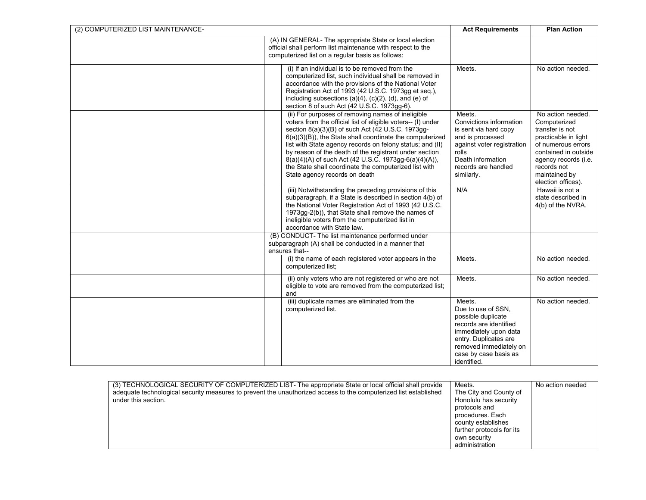| (2) COMPUTERIZED LIST MAINTENANCE- | <b>Act Requirements</b>                                                                                                                                                                                                                                                                                                                                                                                                                                                                                      | <b>Plan Action</b>                                                                                                                                                                               |                                                                                                                                                                                                          |
|------------------------------------|--------------------------------------------------------------------------------------------------------------------------------------------------------------------------------------------------------------------------------------------------------------------------------------------------------------------------------------------------------------------------------------------------------------------------------------------------------------------------------------------------------------|--------------------------------------------------------------------------------------------------------------------------------------------------------------------------------------------------|----------------------------------------------------------------------------------------------------------------------------------------------------------------------------------------------------------|
|                                    | (A) IN GENERAL- The appropriate State or local election<br>official shall perform list maintenance with respect to the<br>computerized list on a regular basis as follows:                                                                                                                                                                                                                                                                                                                                   |                                                                                                                                                                                                  |                                                                                                                                                                                                          |
|                                    | (i) If an individual is to be removed from the<br>computerized list, such individual shall be removed in<br>accordance with the provisions of the National Voter<br>Registration Act of 1993 (42 U.S.C. 1973gg et seq.),<br>including subsections (a)(4), (c)(2), (d), and (e) of<br>section 8 of such Act (42 U.S.C. 1973gg-6).                                                                                                                                                                             | Meets.                                                                                                                                                                                           | No action needed.                                                                                                                                                                                        |
|                                    | (ii) For purposes of removing names of ineligible<br>voters from the official list of eligible voters-- (I) under<br>section 8(a)(3)(B) of such Act (42 U.S.C. 1973gg-<br>6(a)(3)(B)), the State shall coordinate the computerized<br>list with State agency records on felony status; and (II)<br>by reason of the death of the registrant under section<br>8(a)(4)(A) of such Act (42 U.S.C. 1973gg-6(a)(4)(A)),<br>the State shall coordinate the computerized list with<br>State agency records on death | Meets.<br>Convictions information<br>is sent via hard copy<br>and is processed<br>against voter registration<br>rolls<br>Death information<br>records are handled<br>similarly.                  | No action needed.<br>Computerized<br>transfer is not<br>practicable in light<br>of numerous errors<br>contained in outside<br>agency records (i.e.<br>records not<br>maintained by<br>election offices). |
|                                    | (iii) Notwithstanding the preceding provisions of this<br>subparagraph, if a State is described in section 4(b) of<br>the National Voter Registration Act of 1993 (42 U.S.C.<br>1973gg-2(b)), that State shall remove the names of<br>ineligible voters from the computerized list in<br>accordance with State law.                                                                                                                                                                                          | N/A                                                                                                                                                                                              | Hawaii is not a<br>state described in<br>4(b) of the NVRA.                                                                                                                                               |
|                                    | (B) CONDUCT- The list maintenance performed under<br>subparagraph (A) shall be conducted in a manner that<br>ensures that--                                                                                                                                                                                                                                                                                                                                                                                  |                                                                                                                                                                                                  |                                                                                                                                                                                                          |
|                                    | (i) the name of each registered voter appears in the<br>computerized list:                                                                                                                                                                                                                                                                                                                                                                                                                                   | Meets.                                                                                                                                                                                           | No action needed.                                                                                                                                                                                        |
|                                    | (ii) only voters who are not registered or who are not<br>eligible to vote are removed from the computerized list;<br>and                                                                                                                                                                                                                                                                                                                                                                                    | Meets.                                                                                                                                                                                           | No action needed.                                                                                                                                                                                        |
|                                    | (iii) duplicate names are eliminated from the<br>computerized list.                                                                                                                                                                                                                                                                                                                                                                                                                                          | Meets.<br>Due to use of SSN,<br>possible duplicate<br>records are identified<br>immediately upon data<br>entry. Duplicates are<br>removed immediately on<br>case by case basis as<br>identified. | No action needed.                                                                                                                                                                                        |

| (3) TECHNOLOGICAL SECURITY OF COMPUTERIZED LIST- The appropriate State or local official shall provide<br>adequate technological security measures to prevent the unauthorized access to the computerized list established<br>under this section. |
|---------------------------------------------------------------------------------------------------------------------------------------------------------------------------------------------------------------------------------------------------|
|---------------------------------------------------------------------------------------------------------------------------------------------------------------------------------------------------------------------------------------------------|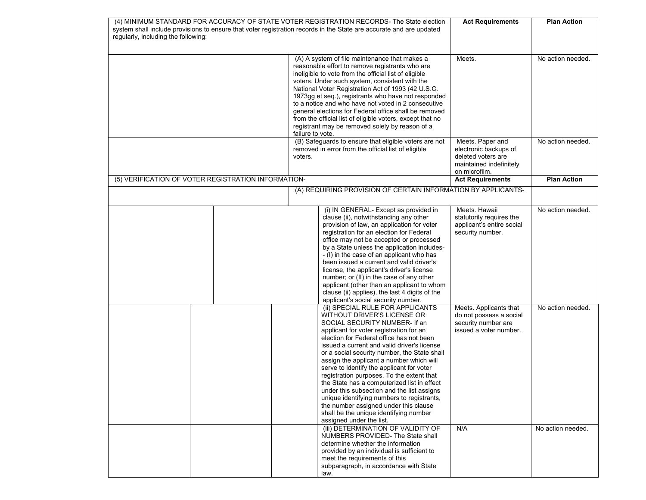| (4) MINIMUM STANDARD FOR ACCURACY OF STATE VOTER REGISTRATION RECORDS- The State election                           |                                                                                                                                                                                                                                                                                                                                                                                                                                                                                                                                                                                                                                                                                        | <b>Act Requirements</b>                                                                                     | <b>Plan Action</b> |
|---------------------------------------------------------------------------------------------------------------------|----------------------------------------------------------------------------------------------------------------------------------------------------------------------------------------------------------------------------------------------------------------------------------------------------------------------------------------------------------------------------------------------------------------------------------------------------------------------------------------------------------------------------------------------------------------------------------------------------------------------------------------------------------------------------------------|-------------------------------------------------------------------------------------------------------------|--------------------|
| system shall include provisions to ensure that voter registration records in the State are accurate and are updated |                                                                                                                                                                                                                                                                                                                                                                                                                                                                                                                                                                                                                                                                                        |                                                                                                             |                    |
| regularly, including the following:                                                                                 |                                                                                                                                                                                                                                                                                                                                                                                                                                                                                                                                                                                                                                                                                        |                                                                                                             |                    |
|                                                                                                                     |                                                                                                                                                                                                                                                                                                                                                                                                                                                                                                                                                                                                                                                                                        |                                                                                                             |                    |
|                                                                                                                     | (A) A system of file maintenance that makes a<br>reasonable effort to remove registrants who are<br>ineligible to vote from the official list of eligible<br>voters. Under such system, consistent with the<br>National Voter Registration Act of 1993 (42 U.S.C.<br>1973gg et seg.), registrants who have not responded<br>to a notice and who have not voted in 2 consecutive                                                                                                                                                                                                                                                                                                        | Meets.                                                                                                      | No action needed.  |
|                                                                                                                     | general elections for Federal office shall be removed<br>from the official list of eligible voters, except that no<br>registrant may be removed solely by reason of a<br>failure to vote.                                                                                                                                                                                                                                                                                                                                                                                                                                                                                              |                                                                                                             |                    |
|                                                                                                                     | (B) Safeguards to ensure that eligible voters are not<br>removed in error from the official list of eligible<br>voters.                                                                                                                                                                                                                                                                                                                                                                                                                                                                                                                                                                | Meets. Paper and<br>electronic backups of<br>deleted voters are<br>maintained indefinitely<br>on microfilm. | No action needed.  |
| (5) VERIFICATION OF VOTER REGISTRATION INFORMATION-                                                                 |                                                                                                                                                                                                                                                                                                                                                                                                                                                                                                                                                                                                                                                                                        | <b>Act Requirements</b>                                                                                     | <b>Plan Action</b> |
|                                                                                                                     | (A) REQUIRING PROVISION OF CERTAIN INFORMATION BY APPLICANTS-                                                                                                                                                                                                                                                                                                                                                                                                                                                                                                                                                                                                                          |                                                                                                             |                    |
|                                                                                                                     | (i) IN GENERAL- Except as provided in<br>clause (ii), notwithstanding any other<br>provision of law, an application for voter<br>registration for an election for Federal<br>office may not be accepted or processed<br>by a State unless the application includes-<br>- (I) in the case of an applicant who has<br>been issued a current and valid driver's<br>license, the applicant's driver's license<br>number; or (II) in the case of any other<br>applicant (other than an applicant to whom<br>clause (ii) applies), the last 4 digits of the<br>applicant's social security number.                                                                                           | Meets. Hawaii<br>statutorily requires the<br>applicant's entire social<br>security number.                  | No action needed.  |
|                                                                                                                     | (ii) SPECIAL RULE FOR APPLICANTS<br>WITHOUT DRIVER'S LICENSE OR<br>SOCIAL SECURITY NUMBER- If an<br>applicant for voter registration for an<br>election for Federal office has not been<br>issued a current and valid driver's license<br>or a social security number, the State shall<br>assign the applicant a number which will<br>serve to identify the applicant for voter<br>registration purposes. To the extent that<br>the State has a computerized list in effect<br>under this subsection and the list assigns<br>unique identifying numbers to registrants,<br>the number assigned under this clause<br>shall be the unique identifying number<br>assigned under the list. | Meets. Applicants that<br>do not possess a social<br>security number are<br>issued a voter number.          | No action needed.  |
|                                                                                                                     | (iii) DETERMINATION OF VALIDITY OF<br>NUMBERS PROVIDED- The State shall<br>determine whether the information<br>provided by an individual is sufficient to<br>meet the requirements of this<br>subparagraph, in accordance with State<br>law.                                                                                                                                                                                                                                                                                                                                                                                                                                          | N/A                                                                                                         | No action needed.  |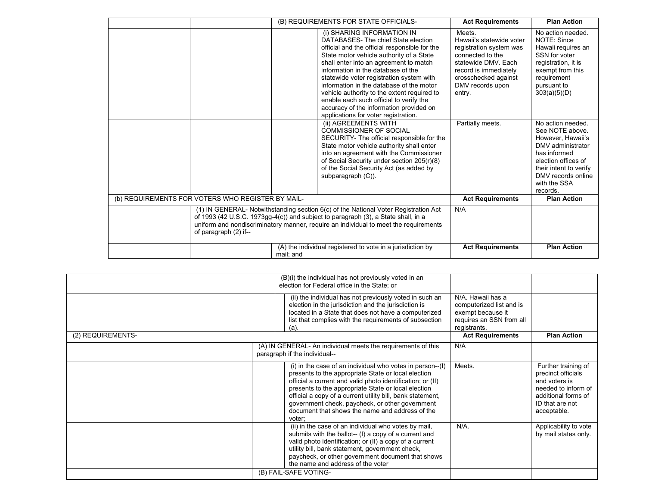|                                                                                                                                                                                                                                                                                           | (B) REQUIREMENTS FOR STATE OFFICIALS-                                                                                                                                                                                                                                                                                                                                                                                                                                                                               | <b>Act Requirements</b>                                                                                                                                                                 | <b>Plan Action</b>                                                                                                                                                                                |
|-------------------------------------------------------------------------------------------------------------------------------------------------------------------------------------------------------------------------------------------------------------------------------------------|---------------------------------------------------------------------------------------------------------------------------------------------------------------------------------------------------------------------------------------------------------------------------------------------------------------------------------------------------------------------------------------------------------------------------------------------------------------------------------------------------------------------|-----------------------------------------------------------------------------------------------------------------------------------------------------------------------------------------|---------------------------------------------------------------------------------------------------------------------------------------------------------------------------------------------------|
|                                                                                                                                                                                                                                                                                           | (i) SHARING INFORMATION IN<br>DATABASES- The chief State election<br>official and the official responsible for the<br>State motor vehicle authority of a State<br>shall enter into an agreement to match<br>information in the database of the<br>statewide voter registration system with<br>information in the database of the motor<br>vehicle authority to the extent required to<br>enable each such official to verify the<br>accuracy of the information provided on<br>applications for voter registration. | Meets.<br>Hawaii's statewide voter<br>registration system was<br>connected to the<br>statewide DMV, Each<br>record is immediately<br>crosschecked against<br>DMV records upon<br>entry. | No action needed.<br>NOTE: Since<br>Hawaii requires an<br>SSN for voter<br>registration, it is<br>exempt from this<br>requirement<br>pursuant to<br>303(a)(5)(D)                                  |
|                                                                                                                                                                                                                                                                                           | (ii) AGREEMENTS WITH<br><b>COMMISSIONER OF SOCIAL</b><br>SECURITY- The official responsible for the<br>State motor vehicle authority shall enter<br>into an agreement with the Commissioner<br>of Social Security under section 205(r)(8)<br>of the Social Security Act (as added by<br>subparagraph (C)).                                                                                                                                                                                                          | Partially meets.                                                                                                                                                                        | No action needed.<br>See NOTE above.<br>However, Hawaii's<br>DMV administrator<br>has informed<br>election offices of<br>their intent to verify<br>DMV records online<br>with the SSA<br>records. |
| (b) REQUIREMENTS FOR VOTERS WHO REGISTER BY MAIL-                                                                                                                                                                                                                                         |                                                                                                                                                                                                                                                                                                                                                                                                                                                                                                                     | <b>Act Requirements</b>                                                                                                                                                                 | <b>Plan Action</b>                                                                                                                                                                                |
| (1) IN GENERAL- Notwithstanding section 6(c) of the National Voter Registration Act<br>of 1993 (42 U.S.C. 1973gg-4(c)) and subject to paragraph (3), a State shall, in a<br>uniform and nondiscriminatory manner, require an individual to meet the requirements<br>of paragraph (2) if-- | N/A                                                                                                                                                                                                                                                                                                                                                                                                                                                                                                                 |                                                                                                                                                                                         |                                                                                                                                                                                                   |
|                                                                                                                                                                                                                                                                                           | (A) the individual registered to vote in a jurisdiction by<br>mail; and                                                                                                                                                                                                                                                                                                                                                                                                                                             | <b>Act Requirements</b>                                                                                                                                                                 | <b>Plan Action</b>                                                                                                                                                                                |

|                   | (B)(i) the individual has not previously voted in an<br>election for Federal office in the State; or                                                                                                                                                                                                                                                                                                                     |                                                                                                                |                                                                                                                                            |
|-------------------|--------------------------------------------------------------------------------------------------------------------------------------------------------------------------------------------------------------------------------------------------------------------------------------------------------------------------------------------------------------------------------------------------------------------------|----------------------------------------------------------------------------------------------------------------|--------------------------------------------------------------------------------------------------------------------------------------------|
|                   | (ii) the individual has not previously voted in such an<br>election in the jurisdiction and the jurisdiction is<br>located in a State that does not have a computerized<br>list that complies with the requirements of subsection<br>(a).                                                                                                                                                                                | N/A. Hawaii has a<br>computerized list and is<br>exempt because it<br>requires an SSN from all<br>registrants. |                                                                                                                                            |
| (2) REQUIREMENTS- |                                                                                                                                                                                                                                                                                                                                                                                                                          | <b>Act Requirements</b>                                                                                        | <b>Plan Action</b>                                                                                                                         |
|                   | (A) IN GENERAL- An individual meets the requirements of this<br>paragraph if the individual--                                                                                                                                                                                                                                                                                                                            | N/A                                                                                                            |                                                                                                                                            |
|                   | $(i)$ in the case of an individual who votes in person-- $(l)$<br>presents to the appropriate State or local election<br>official a current and valid photo identification; or (II)<br>presents to the appropriate State or local election<br>official a copy of a current utility bill, bank statement,<br>government check, paycheck, or other government<br>document that shows the name and address of the<br>voter: | Meets.                                                                                                         | Further training of<br>precinct officials<br>and voters is<br>needed to inform of<br>additional forms of<br>ID that are not<br>acceptable. |
|                   | (ii) in the case of an individual who votes by mail,<br>submits with the ballot-- (I) a copy of a current and<br>valid photo identification; or (II) a copy of a current<br>utility bill, bank statement, government check,<br>paycheck, or other government document that shows<br>the name and address of the voter                                                                                                    | $N/A$ .                                                                                                        | Applicability to vote<br>by mail states only.                                                                                              |
|                   | (B) FAIL-SAFE VOTING-                                                                                                                                                                                                                                                                                                                                                                                                    |                                                                                                                |                                                                                                                                            |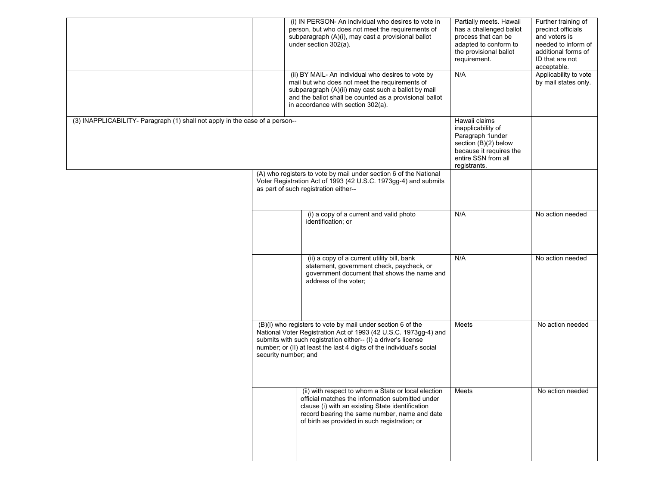|                                                                              |                      | (i) IN PERSON- An individual who desires to vote in<br>person, but who does not meet the requirements of<br>subparagraph (A)(i), may cast a provisional ballot<br>under section 302(a).                                                                                    | Partially meets. Hawaii<br>has a challenged ballot<br>process that can be<br>adapted to conform to<br>the provisional ballot<br>requirement.      | Further training of<br>precinct officials<br>and voters is<br>needed to inform of<br>additional forms of<br>ID that are not<br>acceptable. |
|------------------------------------------------------------------------------|----------------------|----------------------------------------------------------------------------------------------------------------------------------------------------------------------------------------------------------------------------------------------------------------------------|---------------------------------------------------------------------------------------------------------------------------------------------------|--------------------------------------------------------------------------------------------------------------------------------------------|
|                                                                              |                      | (ii) BY MAIL- An individual who desires to vote by<br>mail but who does not meet the requirements of<br>subparagraph (A)(ii) may cast such a ballot by mail<br>and the ballot shall be counted as a provisional ballot<br>in accordance with section 302(a).               | N/A                                                                                                                                               | Applicability to vote<br>by mail states only.                                                                                              |
| (3) INAPPLICABILITY- Paragraph (1) shall not apply in the case of a person-- |                      |                                                                                                                                                                                                                                                                            | Hawaii claims<br>inapplicability of<br>Paragraph 1under<br>section (B)(2) below<br>because it requires the<br>entire SSN from all<br>registrants. |                                                                                                                                            |
|                                                                              |                      | (A) who registers to vote by mail under section 6 of the National<br>Voter Registration Act of 1993 (42 U.S.C. 1973gg-4) and submits<br>as part of such registration either--                                                                                              |                                                                                                                                                   |                                                                                                                                            |
|                                                                              |                      | (i) a copy of a current and valid photo<br>identification; or                                                                                                                                                                                                              | N/A                                                                                                                                               | No action needed                                                                                                                           |
|                                                                              |                      | (ii) a copy of a current utility bill, bank<br>statement, government check, paycheck, or<br>government document that shows the name and<br>address of the voter;                                                                                                           | N/A                                                                                                                                               | No action needed                                                                                                                           |
|                                                                              | security number; and | (B)(i) who registers to vote by mail under section 6 of the<br>National Voter Registration Act of 1993 (42 U.S.C. 1973gg-4) and<br>submits with such registration either-- (I) a driver's license<br>number; or (II) at least the last 4 digits of the individual's social | Meets                                                                                                                                             | No action needed                                                                                                                           |
|                                                                              |                      | (ii) with respect to whom a State or local election<br>official matches the information submitted under<br>clause (i) with an existing State identification<br>record bearing the same number, name and date<br>of birth as provided in such registration; or              | Meets                                                                                                                                             | No action needed                                                                                                                           |
|                                                                              |                      |                                                                                                                                                                                                                                                                            |                                                                                                                                                   |                                                                                                                                            |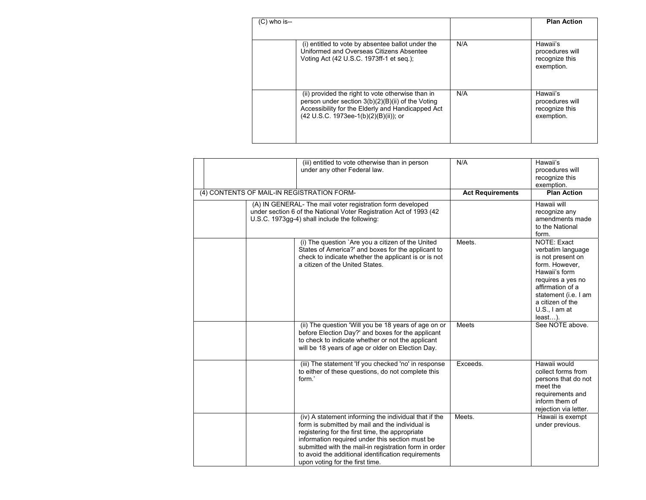| $(C)$ who is--                                                                                                                                                                                       |     | <b>Plan Action</b>                                          |
|------------------------------------------------------------------------------------------------------------------------------------------------------------------------------------------------------|-----|-------------------------------------------------------------|
| (i) entitled to vote by absentee ballot under the<br>Uniformed and Overseas Citizens Absentee<br>Voting Act (42 U.S.C. 1973ff-1 et seg.);                                                            | N/A | Hawaii's<br>procedures will<br>recognize this<br>exemption. |
| (ii) provided the right to vote otherwise than in<br>person under section 3(b)(2)(B)(ii) of the Voting<br>Accessibility for the Elderly and Handicapped Act<br>(42 U.S.C. 1973ee-1(b)(2)(B)(ii)); or | N/A | Hawaii's<br>procedures will<br>recognize this<br>exemption. |

| (iii) entitled to vote otherwise than in person<br>under any other Federal law.<br>(4) CONTENTS OF MAIL-IN REGISTRATION FORM-                                                                                                                                                                                                                                     | N/A                     | Hawaii's<br>procedures will<br>recognize this<br>exemption.<br><b>Plan Action</b>                                                                                                                            |
|-------------------------------------------------------------------------------------------------------------------------------------------------------------------------------------------------------------------------------------------------------------------------------------------------------------------------------------------------------------------|-------------------------|--------------------------------------------------------------------------------------------------------------------------------------------------------------------------------------------------------------|
| (A) IN GENERAL- The mail voter registration form developed<br>under section 6 of the National Voter Registration Act of 1993 (42<br>U.S.C. 1973gg-4) shall include the following:                                                                                                                                                                                 | <b>Act Requirements</b> | Hawaii will<br>recognize any<br>amendments made<br>to the National<br>form.                                                                                                                                  |
| (i) The question `Are you a citizen of the United<br>States of America?' and boxes for the applicant to<br>check to indicate whether the applicant is or is not<br>a citizen of the United States.                                                                                                                                                                | Meets.                  | NOTE: Exact<br>verbatim language<br>is not present on<br>form. However,<br>Hawaii's form<br>requires a yes no<br>affirmation of a<br>statement (i.e. I am<br>a citizen of the<br>U.S., I am at<br>$least$ ). |
| (ii) The question 'Will you be 18 years of age on or<br>before Election Day?' and boxes for the applicant<br>to check to indicate whether or not the applicant<br>will be 18 years of age or older on Election Day.                                                                                                                                               | Meets                   | See NOTE above.                                                                                                                                                                                              |
| (iii) The statement 'If you checked 'no' in response<br>to either of these questions, do not complete this<br>form.'                                                                                                                                                                                                                                              | Exceeds.                | Hawaii would<br>collect forms from<br>persons that do not<br>meet the<br>requirements and<br>inform them of<br>rejection via letter.                                                                         |
| (iv) A statement informing the individual that if the<br>form is submitted by mail and the individual is<br>registering for the first time, the appropriate<br>information required under this section must be<br>submitted with the mail-in registration form in order<br>to avoid the additional identification requirements<br>upon voting for the first time. | Meets.                  | Hawaii is exempt<br>under previous.                                                                                                                                                                          |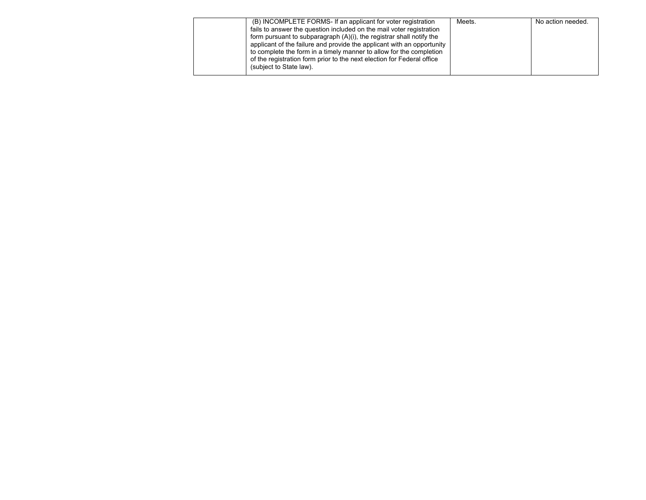| (B) INCOMPLETE FORMS- If an applicant for voter registration            | Meets. | No action needed. |
|-------------------------------------------------------------------------|--------|-------------------|
| fails to answer the question included on the mail voter registration    |        |                   |
| form pursuant to subparagraph $(A)(i)$ , the registrar shall notify the |        |                   |
| applicant of the failure and provide the applicant with an opportunity  |        |                   |
| to complete the form in a timely manner to allow for the completion     |        |                   |
| of the registration form prior to the next election for Federal office  |        |                   |
| (subject to State law).                                                 |        |                   |
|                                                                         |        |                   |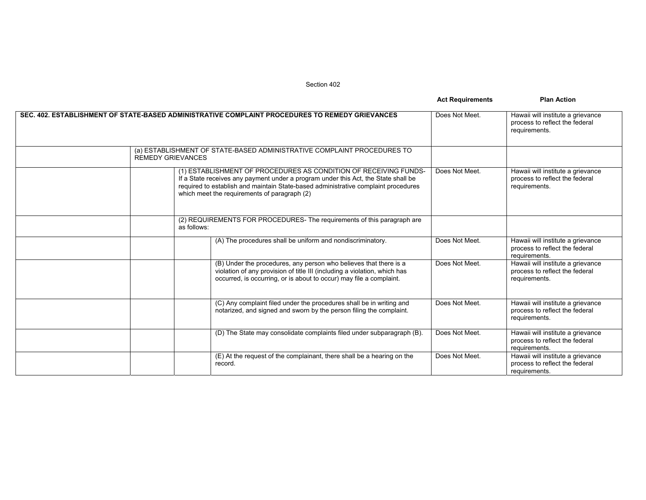Section 402

|                                                                                                                                                                                                                                                                                              | <b>Act Requirements</b> | <b>Plan Action</b>                                                                   |
|----------------------------------------------------------------------------------------------------------------------------------------------------------------------------------------------------------------------------------------------------------------------------------------------|-------------------------|--------------------------------------------------------------------------------------|
| SEC. 402. ESTABLISHMENT OF STATE-BASED ADMINISTRATIVE COMPLAINT PROCEDURES TO REMEDY GRIEVANCES                                                                                                                                                                                              | Does Not Meet.          | Hawaii will institute a grievance<br>process to reflect the federal<br>requirements. |
| (a) ESTABLISHMENT OF STATE-BASED ADMINISTRATIVE COMPLAINT PROCEDURES TO<br><b>REMEDY GRIEVANCES</b>                                                                                                                                                                                          |                         |                                                                                      |
| (1) ESTABLISHMENT OF PROCEDURES AS CONDITION OF RECEIVING FUNDS-<br>If a State receives any payment under a program under this Act, the State shall be<br>required to establish and maintain State-based administrative complaint procedures<br>which meet the requirements of paragraph (2) | Does Not Meet.          | Hawaii will institute a grievance<br>process to reflect the federal<br>requirements. |
| (2) REQUIREMENTS FOR PROCEDURES- The requirements of this paragraph are<br>as follows:                                                                                                                                                                                                       |                         |                                                                                      |
| (A) The procedures shall be uniform and nondiscriminatory.                                                                                                                                                                                                                                   | Does Not Meet.          | Hawaii will institute a grievance<br>process to reflect the federal<br>requirements. |
| (B) Under the procedures, any person who believes that there is a<br>violation of any provision of title III (including a violation, which has<br>occurred, is occurring, or is about to occur) may file a complaint.                                                                        | Does Not Meet.          | Hawaii will institute a grievance<br>process to reflect the federal<br>requirements. |
| (C) Any complaint filed under the procedures shall be in writing and<br>notarized, and signed and sworn by the person filing the complaint.                                                                                                                                                  | Does Not Meet.          | Hawaii will institute a grievance<br>process to reflect the federal<br>requirements. |
| (D) The State may consolidate complaints filed under subparagraph (B).                                                                                                                                                                                                                       | Does Not Meet.          | Hawaii will institute a grievance<br>process to reflect the federal<br>requirements. |
| (E) At the request of the complainant, there shall be a hearing on the<br>record.                                                                                                                                                                                                            | Does Not Meet.          | Hawaii will institute a grievance<br>process to reflect the federal<br>requirements. |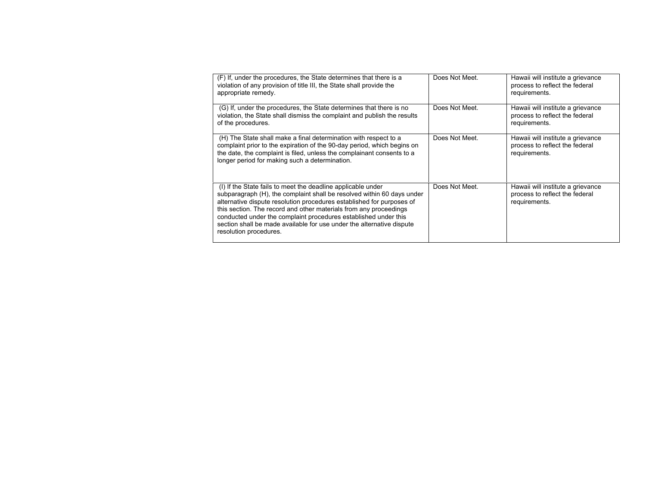| (F) If, under the procedures, the State determines that there is a<br>violation of any provision of title III, the State shall provide the<br>appropriate remedy.                                                                                                                                                                                                                                                                                          | Does Not Meet. | Hawaii will institute a grievance<br>process to reflect the federal<br>requirements. |
|------------------------------------------------------------------------------------------------------------------------------------------------------------------------------------------------------------------------------------------------------------------------------------------------------------------------------------------------------------------------------------------------------------------------------------------------------------|----------------|--------------------------------------------------------------------------------------|
| (G) If, under the procedures, the State determines that there is no<br>violation, the State shall dismiss the complaint and publish the results<br>of the procedures.                                                                                                                                                                                                                                                                                      | Does Not Meet. | Hawaii will institute a grievance<br>process to reflect the federal<br>requirements. |
| (H) The State shall make a final determination with respect to a<br>complaint prior to the expiration of the 90-day period, which begins on<br>the date, the complaint is filed, unless the complainant consents to a<br>longer period for making such a determination.                                                                                                                                                                                    | Does Not Meet. | Hawaii will institute a grievance<br>process to reflect the federal<br>requirements. |
| (I) If the State fails to meet the deadline applicable under<br>subparagraph (H), the complaint shall be resolved within 60 days under<br>alternative dispute resolution procedures established for purposes of<br>this section. The record and other materials from any proceedings<br>conducted under the complaint procedures established under this<br>section shall be made available for use under the alternative dispute<br>resolution procedures. | Does Not Meet. | Hawaii will institute a grievance<br>process to reflect the federal<br>requirements. |